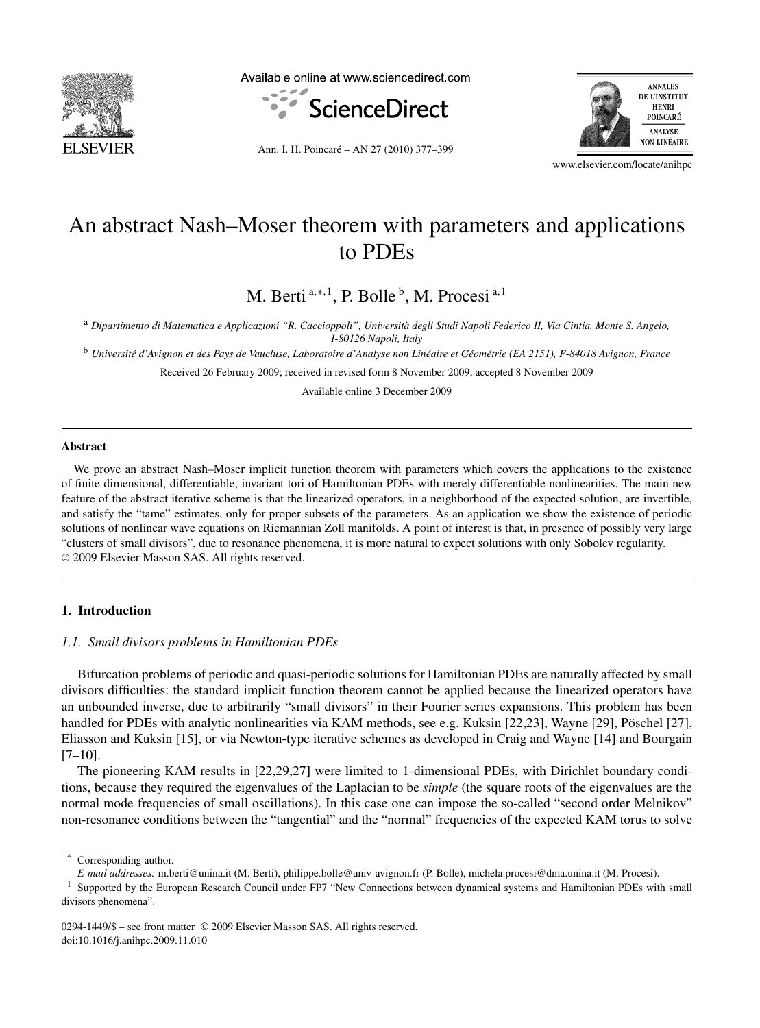

Available online at www.sciencedirect.com





Ann. I. H. Poincaré – AN 27 (2010) 377–399

www.elsevier.com/locate/anihpc

# An abstract Nash–Moser theorem with parameters and applications to PDEs

M. Berti <sup>a</sup>*,*∗*,*<sup>1</sup> , P. Bolle <sup>b</sup> , M. Procesi <sup>a</sup>*,*<sup>1</sup>

<sup>a</sup> *Dipartimento di Matematica e Applicazioni "R. Caccioppoli", Università degli Studi Napoli Federico II, Via Cintia, Monte S. Angelo, I-80126 Napoli, Italy*

<sup>b</sup> *Université d'Avignon et des Pays de Vaucluse, Laboratoire d'Analyse non Linéaire et Géométrie (EA 2151), F-84018 Avignon, France*

Received 26 February 2009; received in revised form 8 November 2009; accepted 8 November 2009

Available online 3 December 2009

## **Abstract**

We prove an abstract Nash–Moser implicit function theorem with parameters which covers the applications to the existence of finite dimensional, differentiable, invariant tori of Hamiltonian PDEs with merely differentiable nonlinearities. The main new feature of the abstract iterative scheme is that the linearized operators, in a neighborhood of the expected solution, are invertible, and satisfy the "tame" estimates, only for proper subsets of the parameters. As an application we show the existence of periodic solutions of nonlinear wave equations on Riemannian Zoll manifolds. A point of interest is that, in presence of possibly very large "clusters of small divisors", due to resonance phenomena, it is more natural to expect solutions with only Sobolev regularity. © 2009 Elsevier Masson SAS. All rights reserved.

# **1. Introduction**

# *1.1. Small divisors problems in Hamiltonian PDEs*

Bifurcation problems of periodic and quasi-periodic solutions for Hamiltonian PDEs are naturally affected by small divisors difficulties: the standard implicit function theorem cannot be applied because the linearized operators have an unbounded inverse, due to arbitrarily "small divisors" in their Fourier series expansions. This problem has been handled for PDEs with analytic nonlinearities via KAM methods, see e.g. Kuksin [22,23], Wayne [29], Pöschel [27], Eliasson and Kuksin [15], or via Newton-type iterative schemes as developed in Craig and Wayne [14] and Bourgain  $[7-10]$ .

The pioneering KAM results in [22,29,27] were limited to 1-dimensional PDEs, with Dirichlet boundary conditions, because they required the eigenvalues of the Laplacian to be *simple* (the square roots of the eigenvalues are the normal mode frequencies of small oscillations). In this case one can impose the so-called "second order Melnikov" non-resonance conditions between the "tangential" and the "normal" frequencies of the expected KAM torus to solve

Corresponding author.

*E-mail addresses:* m.berti@unina.it (M. Berti), philippe.bolle@univ-avignon.fr (P. Bolle), michela.procesi@dma.unina.it (M. Procesi).

<sup>&</sup>lt;sup>1</sup> Supported by the European Research Council under FP7 "New Connections between dynamical systems and Hamiltonian PDEs with small divisors phenomena".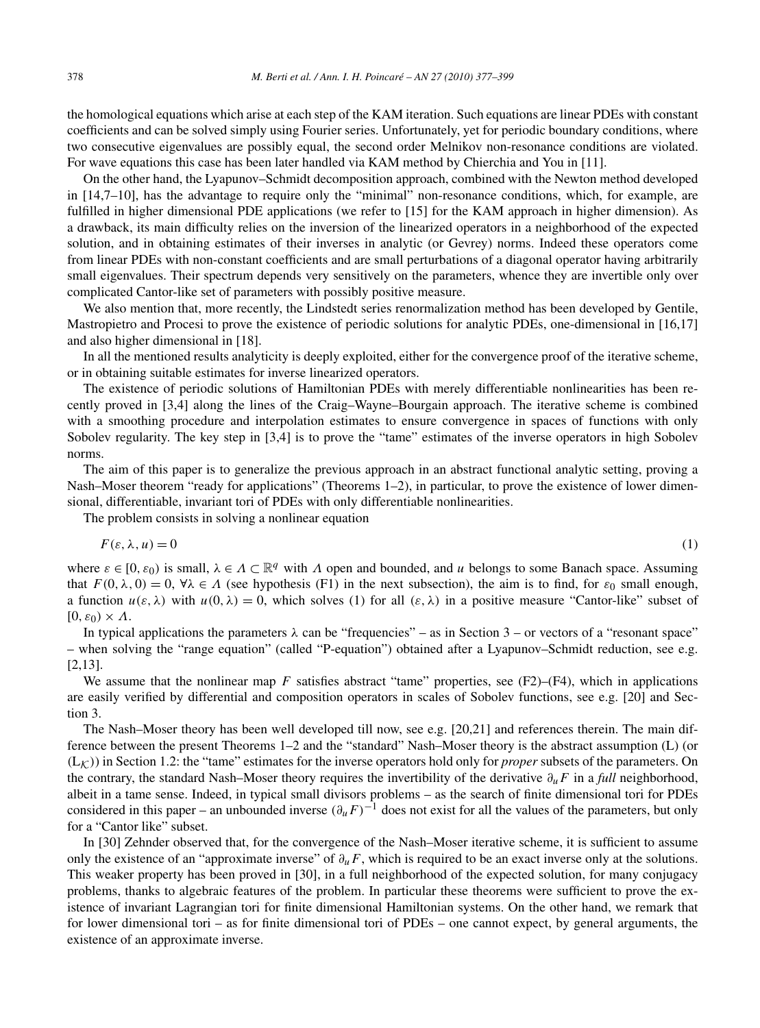the homological equations which arise at each step of the KAM iteration. Such equations are linear PDEs with constant coefficients and can be solved simply using Fourier series. Unfortunately, yet for periodic boundary conditions, where two consecutive eigenvalues are possibly equal, the second order Melnikov non-resonance conditions are violated. For wave equations this case has been later handled via KAM method by Chierchia and You in [11].

On the other hand, the Lyapunov–Schmidt decomposition approach, combined with the Newton method developed in [14,7–10], has the advantage to require only the "minimal" non-resonance conditions, which, for example, are fulfilled in higher dimensional PDE applications (we refer to [15] for the KAM approach in higher dimension). As a drawback, its main difficulty relies on the inversion of the linearized operators in a neighborhood of the expected solution, and in obtaining estimates of their inverses in analytic (or Gevrey) norms. Indeed these operators come from linear PDEs with non-constant coefficients and are small perturbations of a diagonal operator having arbitrarily small eigenvalues. Their spectrum depends very sensitively on the parameters, whence they are invertible only over complicated Cantor-like set of parameters with possibly positive measure.

We also mention that, more recently, the Lindstedt series renormalization method has been developed by Gentile, Mastropietro and Procesi to prove the existence of periodic solutions for analytic PDEs, one-dimensional in [16,17] and also higher dimensional in [18].

In all the mentioned results analyticity is deeply exploited, either for the convergence proof of the iterative scheme, or in obtaining suitable estimates for inverse linearized operators.

The existence of periodic solutions of Hamiltonian PDEs with merely differentiable nonlinearities has been recently proved in [3,4] along the lines of the Craig–Wayne–Bourgain approach. The iterative scheme is combined with a smoothing procedure and interpolation estimates to ensure convergence in spaces of functions with only Sobolev regularity. The key step in [3,4] is to prove the "tame" estimates of the inverse operators in high Sobolev norms.

The aim of this paper is to generalize the previous approach in an abstract functional analytic setting, proving a Nash–Moser theorem "ready for applications" (Theorems 1–2), in particular, to prove the existence of lower dimensional, differentiable, invariant tori of PDEs with only differentiable nonlinearities.

The problem consists in solving a nonlinear equation

$$
F(\varepsilon, \lambda, u) = 0 \tag{1}
$$

where  $\varepsilon \in [0, \varepsilon_0]$  is small,  $\lambda \in A \subset \mathbb{R}^q$  with *Λ* open and bounded, and *u* belongs to some Banach space. Assuming that  $F(0, \lambda, 0) = 0$ ,  $\forall \lambda \in \Lambda$  (see hypothesis (F1) in the next subsection), the aim is to find, for  $\varepsilon_0$  small enough, a function  $u(\varepsilon, \lambda)$  with  $u(0, \lambda) = 0$ , which solves (1) for all  $(\varepsilon, \lambda)$  in a positive measure "Cantor-like" subset of  $[0, ε<sub>0</sub>) \times Λ$ .

In typical applications the parameters  $\lambda$  can be "frequencies" – as in Section 3 – or vectors of a "resonant space" – when solving the "range equation" (called "P-equation") obtained after a Lyapunov–Schmidt reduction, see e.g. [2,13].

We assume that the nonlinear map  $F$  satisfies abstract "tame" properties, see  $(F2)$ – $(F4)$ , which in applications are easily verified by differential and composition operators in scales of Sobolev functions, see e.g. [20] and Section 3.

The Nash–Moser theory has been well developed till now, see e.g. [20,21] and references therein. The main difference between the present Theorems 1–2 and the "standard" Nash–Moser theory is the abstract assumption (L) (or  $(L_K)$ ) in Section 1.2: the "tame" estimates for the inverse operators hold only for *proper* subsets of the parameters. On the contrary, the standard Nash–Moser theory requires the invertibility of the derivative *∂uF* in a *full* neighborhood, albeit in a tame sense. Indeed, in typical small divisors problems – as the search of finite dimensional tori for PDEs considered in this paper – an unbounded inverse  $(\partial_{\mu}F)^{-1}$  does not exist for all the values of the parameters, but only for a "Cantor like" subset.

In [30] Zehnder observed that, for the convergence of the Nash–Moser iterative scheme, it is sufficient to assume only the existence of an "approximate inverse" of *∂uF*, which is required to be an exact inverse only at the solutions. This weaker property has been proved in [30], in a full neighborhood of the expected solution, for many conjugacy problems, thanks to algebraic features of the problem. In particular these theorems were sufficient to prove the existence of invariant Lagrangian tori for finite dimensional Hamiltonian systems. On the other hand, we remark that for lower dimensional tori – as for finite dimensional tori of PDEs – one cannot expect, by general arguments, the existence of an approximate inverse.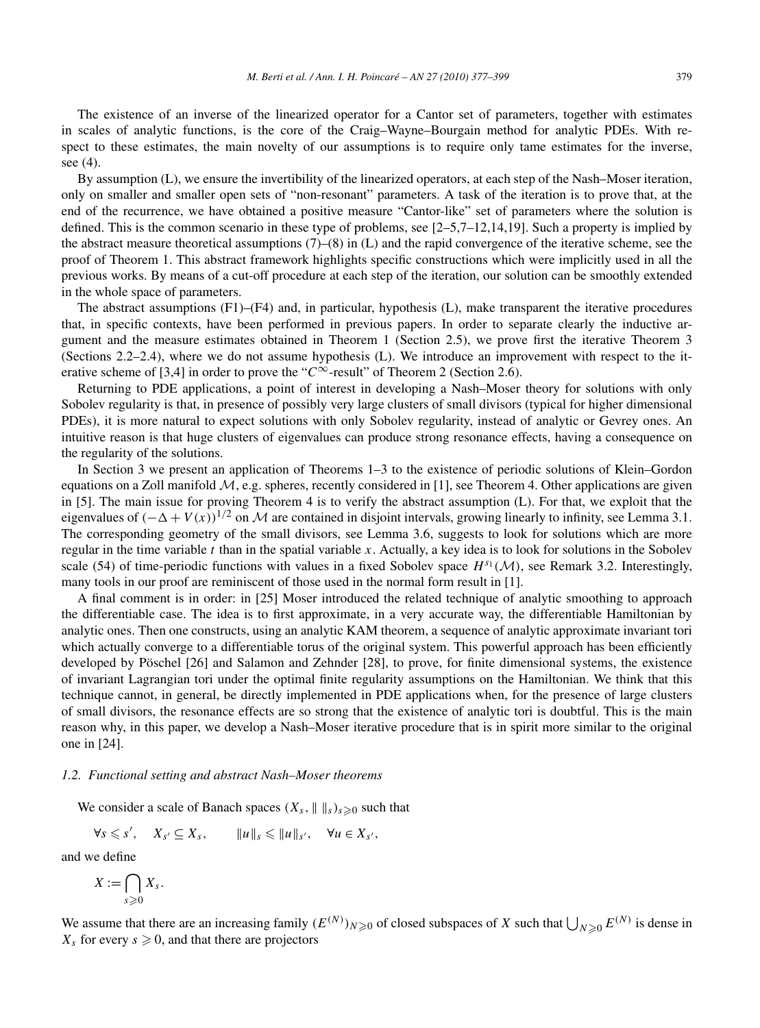The existence of an inverse of the linearized operator for a Cantor set of parameters, together with estimates in scales of analytic functions, is the core of the Craig–Wayne–Bourgain method for analytic PDEs. With respect to these estimates, the main novelty of our assumptions is to require only tame estimates for the inverse, see (4).

By assumption (L), we ensure the invertibility of the linearized operators, at each step of the Nash–Moser iteration, only on smaller and smaller open sets of "non-resonant" parameters. A task of the iteration is to prove that, at the end of the recurrence, we have obtained a positive measure "Cantor-like" set of parameters where the solution is defined. This is the common scenario in these type of problems, see  $[2-5,7-12,14,19]$ . Such a property is implied by the abstract measure theoretical assumptions  $(7)$ – $(8)$  in (L) and the rapid convergence of the iterative scheme, see the proof of Theorem 1. This abstract framework highlights specific constructions which were implicitly used in all the previous works. By means of a cut-off procedure at each step of the iteration, our solution can be smoothly extended in the whole space of parameters.

The abstract assumptions (F1)–(F4) and, in particular, hypothesis (L), make transparent the iterative procedures that, in specific contexts, have been performed in previous papers. In order to separate clearly the inductive argument and the measure estimates obtained in Theorem 1 (Section 2.5), we prove first the iterative Theorem 3 (Sections 2.2–2.4), where we do not assume hypothesis (L). We introduce an improvement with respect to the iterative scheme of [3,4] in order to prove the " $C^{\infty}$ -result" of Theorem 2 (Section 2.6).

Returning to PDE applications, a point of interest in developing a Nash–Moser theory for solutions with only Sobolev regularity is that, in presence of possibly very large clusters of small divisors (typical for higher dimensional PDEs), it is more natural to expect solutions with only Sobolev regularity, instead of analytic or Gevrey ones. An intuitive reason is that huge clusters of eigenvalues can produce strong resonance effects, having a consequence on the regularity of the solutions.

In Section 3 we present an application of Theorems 1–3 to the existence of periodic solutions of Klein–Gordon equations on a Zoll manifold  $M$ , e.g. spheres, recently considered in [1], see Theorem 4. Other applications are given in [5]. The main issue for proving Theorem 4 is to verify the abstract assumption (L). For that, we exploit that the eigenvalues of  $(-\Delta + V(x))^{1/2}$  on M are contained in disjoint intervals, growing linearly to infinity, see Lemma 3.1. The corresponding geometry of the small divisors, see Lemma 3.6, suggests to look for solutions which are more regular in the time variable *t* than in the spatial variable *x*. Actually, a key idea is to look for solutions in the Sobolev scale (54) of time-periodic functions with values in a fixed Sobolev space  $H^{s_1}(\mathcal{M})$ , see Remark 3.2. Interestingly, many tools in our proof are reminiscent of those used in the normal form result in [1].

A final comment is in order: in [25] Moser introduced the related technique of analytic smoothing to approach the differentiable case. The idea is to first approximate, in a very accurate way, the differentiable Hamiltonian by analytic ones. Then one constructs, using an analytic KAM theorem, a sequence of analytic approximate invariant tori which actually converge to a differentiable torus of the original system. This powerful approach has been efficiently developed by Pöschel [26] and Salamon and Zehnder [28], to prove, for finite dimensional systems, the existence of invariant Lagrangian tori under the optimal finite regularity assumptions on the Hamiltonian. We think that this technique cannot, in general, be directly implemented in PDE applications when, for the presence of large clusters of small divisors, the resonance effects are so strong that the existence of analytic tori is doubtful. This is the main reason why, in this paper, we develop a Nash–Moser iterative procedure that is in spirit more similar to the original one in [24].

#### *1.2. Functional setting and abstract Nash–Moser theorems*

We consider a scale of Banach spaces  $(X_s, \|\ \|_s)_{s \geq 0}$  such that

$$
\forall s \leqslant s', \quad X_{s'} \subseteq X_s, \qquad \|u\|_{s} \leqslant \|u\|_{s'}, \quad \forall u \in X_{s'}.
$$

and we define

 $X := \bigcap$ *s*-0 *Xs.*

We assume that there are an increasing family  $(E^{(N)})_{N\geqslant0}$  of closed subspaces of *X* such that  $\bigcup_{N\geqslant0} E^{(N)}$  is dense in  $X_s$  for every  $s \geq 0$ , and that there are projectors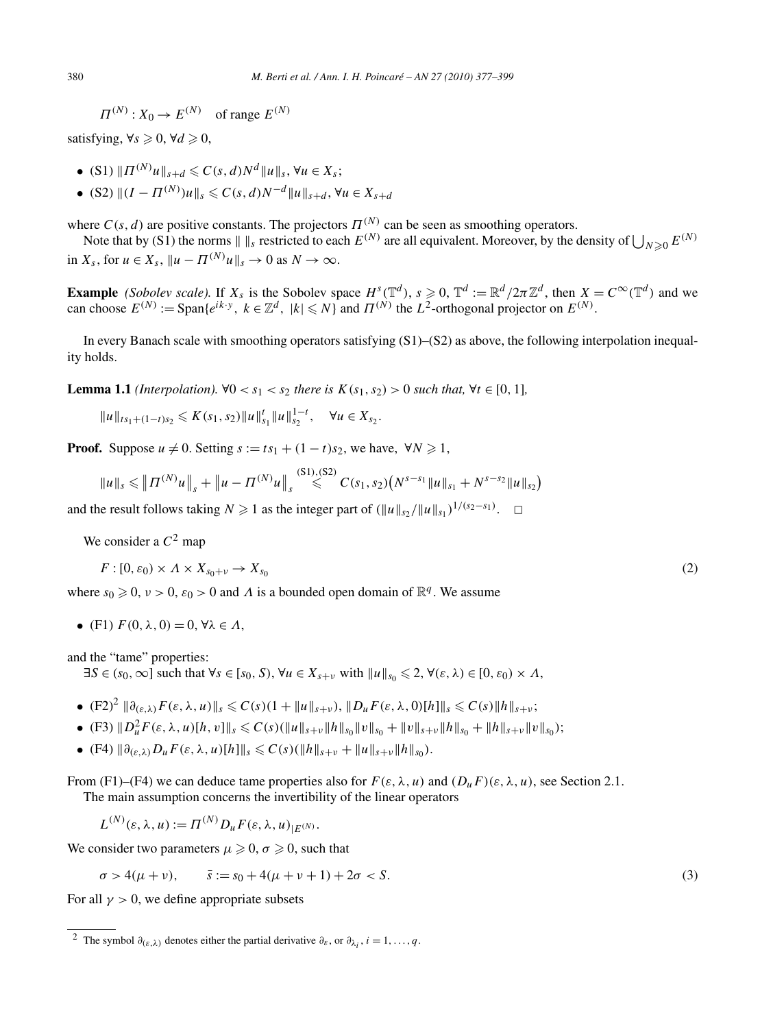$$
\Pi^{(N)}: X_0 \to E^{(N)} \quad \text{of range } E^{(N)}
$$

satisfying,  $\forall s \geq 0, \forall d \geq 0$ ,

- $\bullet$  (S1)  $\| \Pi^{(N)} u \|_{s+d} \leq C(s, d) N^d \| u \|_s, \forall u \in X_s;$
- $\bullet$  (S2)  $||(I \Pi^{(N)})u||_s \le C(s, d)N^{-d}||u||_{s+d}, \forall u \in X_{s+d}$

where  $C(s, d)$  are positive constants. The projectors  $\Pi^{(N)}$  can be seen as smoothing operators.

Note that by (S1) the norms  $|| \cdot ||_s$  restricted to each  $E^{(N)}$  are all equivalent. Moreover, by the density of  $\bigcup_{N \geq 0} E^{(N)}$ in  $X_s$ , for  $u \in X_s$ ,  $\|u - \Pi^{(N)}u\|_{s} \to 0$  as  $N \to \infty$ .

**Example** (Sobolev scale). If  $X_s$  is the Sobolev space  $H^s(\mathbb{T}^d)$ ,  $s \ge 0$ ,  $\mathbb{T}^d := \mathbb{R}^d/2\pi\mathbb{Z}^d$ , then  $X = C^{\infty}(\mathbb{T}^d)$  and we can choose  $E^{(N)} := \text{Span}\{e^{ik \cdot y}, k \in \mathbb{Z}^d, |k| \leq N\}$  and  $\Pi^{(N)}$  the  $L^2$ -orthogonal projector on  $E^{(N)}$ .

In every Banach scale with smoothing operators satisfying (S1)–(S2) as above, the following interpolation inequality holds.

**Lemma 1.1** *(Interpolation).* ∀0 <  $s_1$  <  $s_2$  *there is*  $K(s_1, s_2) > 0$  *such that,* ∀*t* ∈ [0*,* 1]*,* 

$$
||u||_{ts_1+(1-t)s_2} \leqslant K(s_1,s_2)||u||_{s_1}^t||u||_{s_2}^{1-t}, \quad \forall u \in X_{s_2}.
$$

**Proof.** Suppose  $u \neq 0$ . Setting  $s := ts_1 + (1 - t)s_2$ , we have,  $\forall N \ge 1$ ,

$$
||u||_s \le ||\Pi^{(N)}u||_s + ||u - \Pi^{(N)}u||_s \stackrel{(S1),(S2)}{\le} C(s_1,s_2) (N^{s-s_1}||u||_{s_1} + N^{s-s_2}||u||_{s_2})
$$

and the result follows taking  $N \ge 1$  as the integer part of  $(\|u\|_{s_2}/\|u\|_{s_1})^{1/(s_2-s_1)}$ .  $\Box$ 

We consider a  $C^2$  map

$$
F: [0, \varepsilon_0) \times \Lambda \times X_{s_0 + \nu} \to X_{s_0} \tag{2}
$$

where  $s_0 \geq 0$ ,  $\nu > 0$ ,  $\varepsilon_0 > 0$  and  $\Lambda$  is a bounded open domain of  $\mathbb{R}^q$ . We assume

• (F1)  $F(0, \lambda, 0) = 0$ ,  $\forall \lambda \in \Lambda$ ,

and the "tame" properties:

 $\exists S \in (s_0, \infty]$  such that  $\forall s \in [s_0, S), \forall u \in X_{s+v}$  with  $||u||_{s_0} \leq 2, \forall (\varepsilon, \lambda) \in [0, \varepsilon_0) \times \Lambda$ ,

- $\bullet$   $(F2)^2 \|\partial_{(\varepsilon,\lambda)} F(\varepsilon,\lambda,u)\|_{s} \leqslant C(s)(1 + \|u\|_{s+v}), \|D_u F(\varepsilon,\lambda,0)[h]\|_{s} \leqslant C(s) \|h\|_{s+v};$
- (F3)  $||D_u^2F(\varepsilon,\lambda,u)[h,v]||_s \leq C(s)(||u||_{s+v}||h||_{s_0}||v||_{s_0} + ||v||_{s+v}||h||_{s_0} + ||h||_{s+v}||v||_{s_0});$
- $\bullet$  (F4)  $\|\partial_{(\varepsilon,\lambda)}D_uF(\varepsilon,\lambda,u)[h]\|_s \leq C(s)(\|h\|_{s+v} + \|u\|_{s+v}\|h\|_{s_0}).$

From (F1)–(F4) we can deduce tame properties also for  $F(\varepsilon, \lambda, u)$  and  $(D_u F)(\varepsilon, \lambda, u)$ , see Section 2.1. The main assumption concerns the invertibility of the linear operators

$$
L^{(N)}(\varepsilon,\lambda,u) := \Pi^{(N)} D_u F(\varepsilon,\lambda,u)_{|E^{(N)}}.
$$

We consider two parameters  $\mu \geq 0$ ,  $\sigma \geq 0$ , such that

$$
\sigma > 4(\mu + \nu), \qquad \bar{s} := s_0 + 4(\mu + \nu + 1) + 2\sigma < S. \tag{3}
$$

For all  $\gamma > 0$ , we define appropriate subsets

<sup>&</sup>lt;sup>2</sup> The symbol  $\partial_{(\varepsilon,\lambda)}$  denotes either the partial derivative  $\partial_{\varepsilon}$ , or  $\partial_{\lambda_i}$ ,  $i = 1, ..., q$ .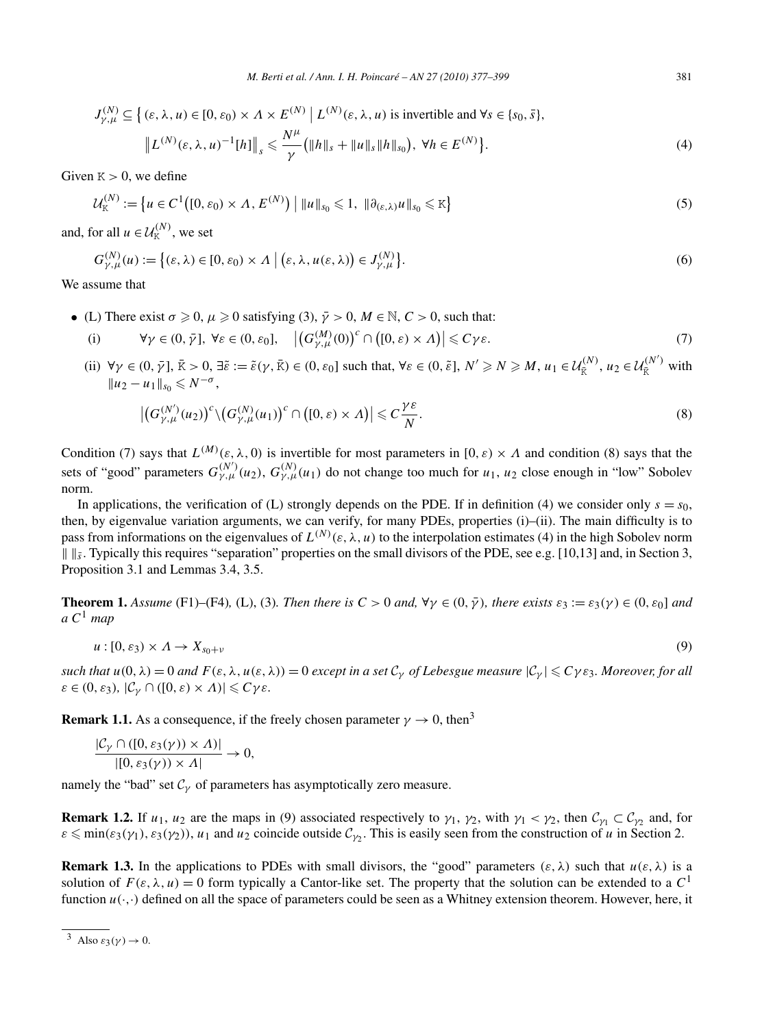$$
J_{\gamma,\mu}^{(N)} \subseteq \left\{ (\varepsilon,\lambda,u) \in [0,\varepsilon_0) \times \Lambda \times E^{(N)} \mid L^{(N)}(\varepsilon,\lambda,u) \text{ is invertible and } \forall s \in \{s_0,\bar{s}\},\right\}
$$

$$
\left\| L^{(N)}(\varepsilon,\lambda,u)^{-1}[h] \right\|_s \leq \frac{N^{\mu}}{\gamma} \left( \|h\|_s + \|u\|_s \|h\|_{s_0} \right), \ \forall h \in E^{(N)} \right\}.
$$

$$
(4)
$$

Given  $K > 0$ , we define

$$
\mathcal{U}_{K}^{(N)} := \left\{ u \in C^{1}([0, \varepsilon_{0}) \times \Lambda, E^{(N)}) \mid ||u||_{s_{0}} \leq 1, ||\partial_{(\varepsilon, \lambda)} u||_{s_{0}} \leq K \right\}
$$
(5)

and, for all  $u \in \mathcal{U}_{K}^{(N)}$ , we set

$$
G_{\gamma,\mu}^{(N)}(u) := \left\{ (\varepsilon,\lambda) \in [0,\varepsilon_0) \times \Lambda \mid (\varepsilon,\lambda,\mu(\varepsilon,\lambda)) \in J_{\gamma,\mu}^{(N)} \right\}.
$$
 (6)

We assume that

- (L) There exist  $\sigma \geq 0$ ,  $\mu \geq 0$  satisfying (3),  $\bar{\gamma} > 0$ ,  $M \in \mathbb{N}$ ,  $C > 0$ , such that:
	- (i)  $\forall \gamma \in (0, \bar{\gamma}], \forall \varepsilon \in (0, \varepsilon_0], \quad \left| \left( G_{\gamma,\mu}^{(M)}(0) \right)^c \cap \left( [0, \varepsilon) \times \Lambda \right) \right| \leqslant C \gamma \varepsilon.$  (7)
	- (ii)  $\forall \gamma \in (0, \bar{\gamma}], \bar{K} > 0, \exists \tilde{\epsilon} := \tilde{\epsilon}(\gamma, \bar{K}) \in (0, \epsilon_0]$  such that,  $\forall \epsilon \in (0, \tilde{\epsilon}], N' \ge N \ge M, u_1 \in \mathcal{U}_{\bar{K}}^{(N)}, u_2 \in \mathcal{U}_{\bar{K}}^{(N')}$  with  $||u_2 - u_1||_{s_0}$  ≤  $N^{-\sigma}$ ,

$$
\left| \left( G_{\gamma,\mu}^{(N')}(u_2) \right)^c \backslash \left( G_{\gamma,\mu}^{(N)}(u_1) \right)^c \cap \left( [0,\varepsilon) \times \Lambda \right) \right| \leqslant C \frac{\gamma \varepsilon}{N}.
$$
\n(8)

Condition (7) says that  $L^{(M)}(\varepsilon,\lambda,0)$  is invertible for most parameters in  $[0,\varepsilon)\times\Lambda$  and condition (8) says that the sets of "good" parameters  $G_{\gamma,\mu}^{(N)}(u_2)$ ,  $G_{\gamma,\mu}^{(N)}(u_1)$  do not change too much for  $u_1, u_2$  close enough in "low" Sobolev norm.

In applications, the verification of (L) strongly depends on the PDE. If in definition (4) we consider only  $s = s_0$ , then, by eigenvalue variation arguments, we can verify, for many PDEs, properties (i)–(ii). The main difficulty is to pass from informations on the eigenvalues of  $L^{(N)}(\varepsilon,\lambda,u)$  to the interpolation estimates (4) in the high Sobolev norm  $\|\|\$ <sub>s</sub>. Typically this requires "separation" properties on the small divisors of the PDE, see e.g. [10,13] and, in Section 3, Proposition 3.1 and Lemmas 3.4, 3.5.

**Theorem 1.** Assume (F1)–(F4), (L), (3). Then there is  $C > 0$  and,  $\forall \gamma \in (0, \bar{\gamma})$ , there exists  $\varepsilon_3 := \varepsilon_3(\gamma) \in (0, \varepsilon_0]$  and *a C*<sup>1</sup> *map*

$$
u:[0,\varepsilon_3)\times\Lambda\to X_{s_0+\nu}
$$
\n(9)

*such that*  $u(0, \lambda) = 0$  *and*  $F(\varepsilon, \lambda, u(\varepsilon, \lambda)) = 0$  *except in a set*  $C_\gamma$  *of Lebesgue measure*  $|C_\gamma| \le C\gamma \varepsilon_3$ *. Moreover, for all*  $\varepsilon \in (0, \varepsilon_3)$ *,*  $|\mathcal{C}_{\gamma} \cap ([0, \varepsilon) \times \Lambda)| \leq C \gamma \varepsilon$ *.* 

**Remark 1.1.** As a consequence, if the freely chosen parameter  $\gamma \rightarrow 0$ , then<sup>3</sup>

$$
\frac{|\mathcal{C}_{\gamma} \cap ([0, \varepsilon_3(\gamma)) \times \Lambda)|}{|[0, \varepsilon_3(\gamma)) \times \Lambda|} \to 0,
$$

namely the "bad" set  $C_\gamma$  of parameters has asymptotically zero measure.

**Remark 1.2.** If  $u_1, u_2$  are the maps in (9) associated respectively to  $\gamma_1, \gamma_2$ , with  $\gamma_1 < \gamma_2$ , then  $C_{\gamma_1} \subset C_{\gamma_2}$  and, for  $\varepsilon \le \min(\varepsilon_3(\gamma_1), \varepsilon_3(\gamma_2))$ , *u*<sub>1</sub> and *u*<sub>2</sub> coincide outside  $C_{\gamma_2}$ . This is easily seen from the construction of *u* in Section 2.

**Remark 1.3.** In the applications to PDEs with small divisors, the "good" parameters  $(\varepsilon, \lambda)$  such that  $u(\varepsilon, \lambda)$  is a solution of  $F(\varepsilon, \lambda, u) = 0$  form typically a Cantor-like set. The property that the solution can be extended to a  $C<sup>1</sup>$ function  $u(\cdot, \cdot)$  defined on all the space of parameters could be seen as a Whitney extension theorem. However, here, it

 $\frac{3}{\sqrt{3}}$  Also  $\varepsilon_3(\nu) \to 0$ .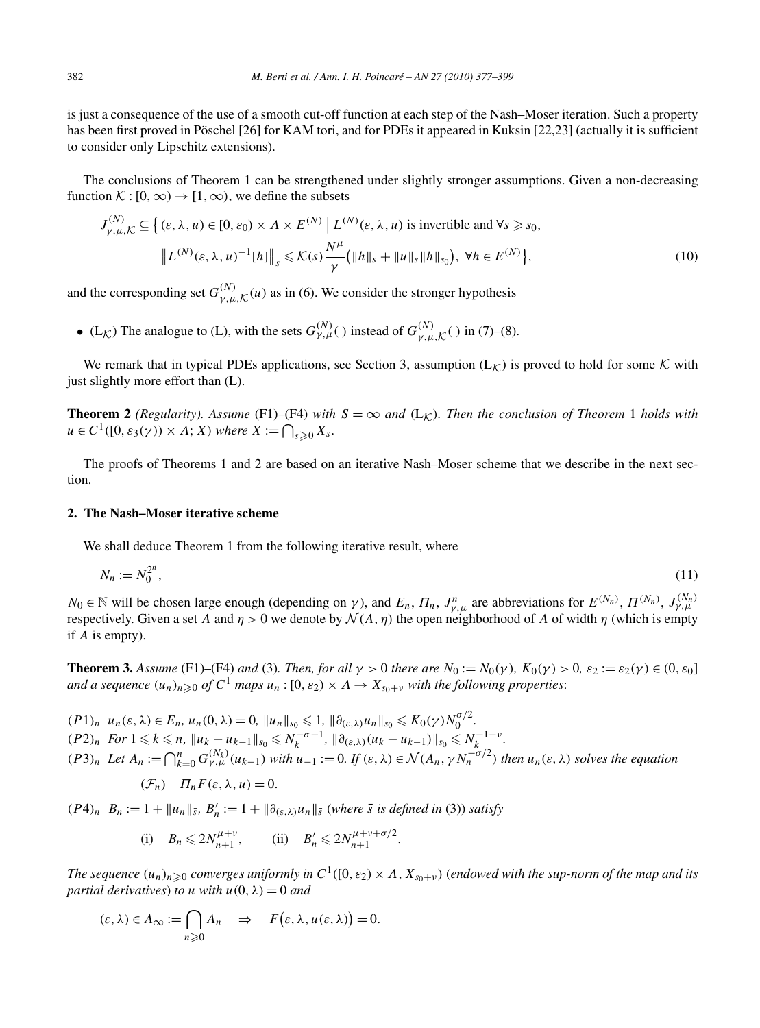is just a consequence of the use of a smooth cut-off function at each step of the Nash–Moser iteration. Such a property has been first proved in Pöschel [26] for KAM tori, and for PDEs it appeared in Kuksin [22,23] (actually it is sufficient to consider only Lipschitz extensions).

The conclusions of Theorem 1 can be strengthened under slightly stronger assumptions. Given a non-decreasing function  $\mathcal{K} : [0, \infty) \to [1, \infty)$ , we define the subsets

$$
J_{\gamma,\mu,\mathcal{K}}^{(N)} \subseteq \left\{ (\varepsilon,\lambda,u) \in [0,\varepsilon_0) \times \Lambda \times E^{(N)} \mid L^{(N)}(\varepsilon,\lambda,u) \text{ is invertible and } \forall s \geq s_0, \right\}
$$

$$
\left\| L^{(N)}(\varepsilon,\lambda,u)^{-1}[h] \right\|_s \leqslant \mathcal{K}(s) \frac{N^{\mu}}{\gamma} \left( \|h\|_s + \|u\|_s \|h\|_{s_0} \right), \ \forall h \in E^{(N)} \right\},\tag{10}
$$

and the corresponding set  $G_{\gamma,\mu,\mathcal{K}}^{(N)}(u)$  as in (6). We consider the stronger hypothesis

• (L<sub>K</sub>) The analogue to (L), with the sets  $G_{\gamma,\mu}^{(N)}(.)$  instead of  $G_{\gamma,\mu,K}^{(N)}(.)$  in (7)–(8).

We remark that in typical PDEs applications, see Section 3, assumption  $(L_K)$  is proved to hold for some K with just slightly more effort than (L).

**Theorem 2** *(Regularity). Assume* (F1)–(F4) *with*  $S = \infty$  *and* (L<sub>K</sub>)*. Then the conclusion of Theorem* 1 *holds with*  $u \in C^1([0, \varepsilon_3(\gamma)) \times \Lambda; X)$  where  $X := \bigcap_{s \geq 0} X_s$ .

The proofs of Theorems 1 and 2 are based on an iterative Nash–Moser scheme that we describe in the next section.

## **2. The Nash–Moser iterative scheme**

We shall deduce Theorem 1 from the following iterative result, where

$$
N_n := N_0^{2^n},\tag{11}
$$

*N*<sub>0</sub> ∈ N will be chosen large enough (depending on *γ*), and  $E_n$ ,  $\Pi_n$ ,  $J_{\gamma,\mu}^n$  are abbreviations for  $E^{(N_n)}$ ,  $\Pi^{(N_n)}$ ,  $J_{\gamma,\mu}^{(N_n)}$ respectively. Given a set *A* and  $\eta > 0$  we denote by  $\mathcal{N}(A, \eta)$  the open neighborhood of *A* of width  $\eta$  (which is empty if *A* is empty).

**Theorem 3.** Assume (F1)–(F4) and (3). Then, for all  $\gamma > 0$  there are  $N_0 := N_0(\gamma)$ ,  $K_0(\gamma) > 0$ ,  $\varepsilon_2 := \varepsilon_2(\gamma) \in (0, \varepsilon_0]$ and a sequence  $(u_n)_{n\geqslant 0}$  of  $C^1$  maps  $u_n$  :  $[0,\varepsilon_2)\times\varLambda\to X_{s_0+\nu}$  with the following properties:

 $(P1)_n$  *u<sub>n</sub>*( $\varepsilon, \lambda$ )  $\in E_n$ ,  $u_n(0, \lambda) = 0$ ,  $||u_n||_{s_0} \leq 1$ ,  $||\partial_{(\varepsilon,\lambda)} u_n||_{s_0} \leq K_0(\gamma) N_0^{\sigma/2}$ .  $(P2)_n$  For  $1 \leq k \leq n$ ,  $||u_k - u_{k-1}||_{s_0} \leq N_k^{-\sigma-1}$ ,  $||\partial_{(\varepsilon,\lambda)}(u_k - u_{k-1})||_{s_0} \leq N_k^{-1-\nu}$ .  $(P3)_n$  Let  $A_n := \bigcap_{k=0}^n G_{\gamma,\mu}^{(N_k)}(u_{k-1})$  with  $u_{-1} := 0$ . If  $(\varepsilon, \lambda) \in \mathcal{N}(A_n, \gamma N_n^{-\sigma/2})$  then  $u_n(\varepsilon, \lambda)$  solves the equation

$$
(\mathcal{F}_n) \quad \Pi_n F(\varepsilon, \lambda, u) = 0.
$$

 $(P4)_n$   $B_n := 1 + ||u_n||_{\bar{s}}, B'_n := 1 + ||\partial_{(\varepsilon,\lambda)} u_n||_{\bar{s}}$  (where  $\bar{s}$  is defined in (3)) satisfy

(i) 
$$
B_n \le 2N_{n+1}^{\mu+\nu}
$$
, (ii)  $B'_n \le 2N_{n+1}^{\mu+\nu+\sigma/2}$ .

*The sequence*  $(u_n)_{n\geqslant 0}$  *converges uniformly in*  $C^1([0,\varepsilon_2)\times A$ ,  $X_{s_0+v}$ ) (endowed with the sup-norm of the map and its *partial derivatives*) *to u with*  $u(0, \lambda) = 0$  *and* 

$$
(\varepsilon, \lambda) \in A_{\infty} := \bigcap_{n \geqslant 0} A_n \quad \Rightarrow \quad F(\varepsilon, \lambda, u(\varepsilon, \lambda)) = 0.
$$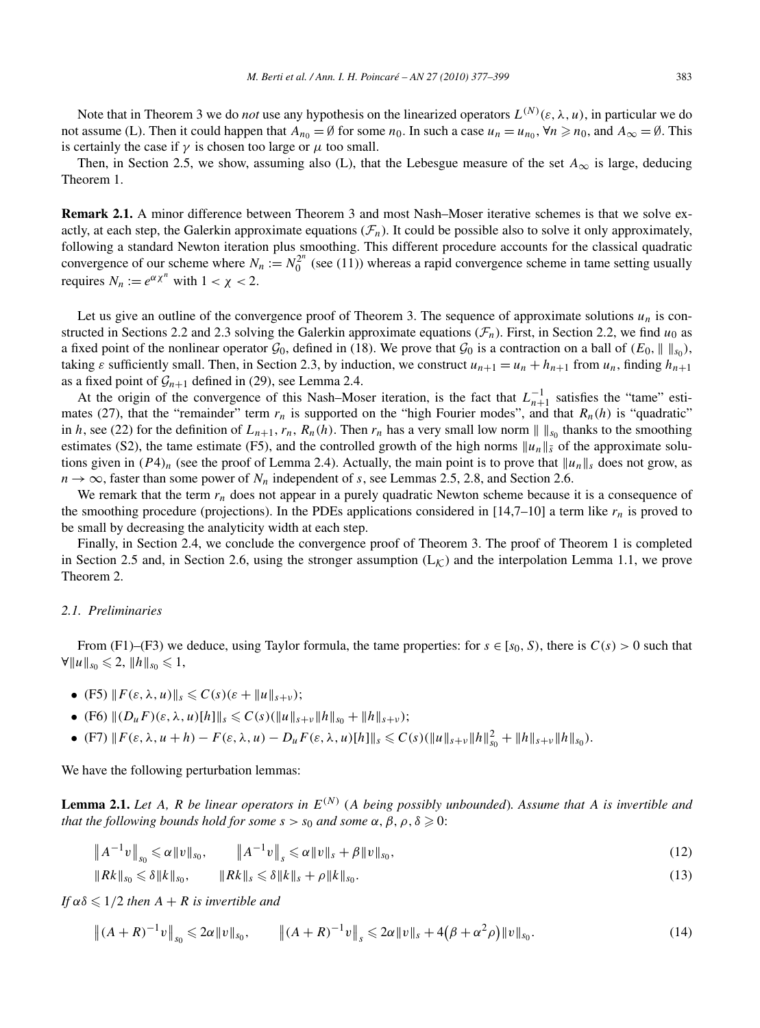Note that in Theorem 3 we do *not* use any hypothesis on the linearized operators  $L^{(N)}(\varepsilon, \lambda, u)$ , in particular we do not assume (L). Then it could happen that  $A_{n_0} = \emptyset$  for some  $n_0$ . In such a case  $u_n = u_{n_0}$ ,  $\forall n \ge n_0$ , and  $A_\infty = \emptyset$ . This is certainly the case if  $\gamma$  is chosen too large or  $\mu$  too small.

Then, in Section 2.5, we show, assuming also (L), that the Lebesgue measure of the set  $A_{\infty}$  is large, deducing Theorem 1.

**Remark 2.1.** A minor difference between Theorem 3 and most Nash–Moser iterative schemes is that we solve exactly, at each step, the Galerkin approximate equations  $(\mathcal{F}_n)$ . It could be possible also to solve it only approximately, following a standard Newton iteration plus smoothing. This different procedure accounts for the classical quadratic convergence of our scheme where  $N_n := N_0^{2^n}$  (see (11)) whereas a rapid convergence scheme in tame setting usually requires  $N_n := e^{\alpha \chi^n}$  with  $1 < \chi < 2$ .

Let us give an outline of the convergence proof of Theorem 3. The sequence of approximate solutions  $u_n$  is constructed in Sections 2.2 and 2.3 solving the Galerkin approximate equations  $(\mathcal{F}_n)$ . First, in Section 2.2, we find  $u_0$  as a fixed point of the nonlinear operator  $\mathcal{G}_0$ , defined in (18). We prove that  $\mathcal{G}_0$  is a contraction on a ball of  $(E_0, \|\cdot\|_{\mathcal{S}_0})$ , taking  $\varepsilon$  sufficiently small. Then, in Section 2.3, by induction, we construct  $u_{n+1} = u_n + h_{n+1}$  from  $u_n$ , finding  $h_{n+1}$ as a fixed point of  $\mathcal{G}_{n+1}$  defined in (29), see Lemma 2.4.

At the origin of the convergence of this Nash–Moser iteration, is the fact that  $L_{n+1}^{-1}$  satisfies the "tame" estimates (27), that the "remainder" term  $r_n$  is supported on the "high Fourier modes", and that  $R_n(h)$  is "quadratic" in *h*, see (22) for the definition of  $L_{n+1}$ ,  $r_n$ ,  $R_n(h)$ . Then  $r_n$  has a very small low norm  $|| \cdot ||_{S_0}$  thanks to the smoothing estimates (S2), the tame estimate (F5), and the controlled growth of the high norms  $||u_n||_{\bar{s}}$  of the approximate solutions given in  $(P4)_n$  (see the proof of Lemma 2.4). Actually, the main point is to prove that  $||u_n||_s$  does not grow, as  $n \to \infty$ , faster than some power of  $N_n$  independent of *s*, see Lemmas 2.5, 2.8, and Section 2.6.

We remark that the term  $r_n$  does not appear in a purely quadratic Newton scheme because it is a consequence of the smoothing procedure (projections). In the PDEs applications considered in  $[14,7-10]$  a term like  $r_n$  is proved to be small by decreasing the analyticity width at each step.

Finally, in Section 2.4, we conclude the convergence proof of Theorem 3. The proof of Theorem 1 is completed in Section 2.5 and, in Section 2.6, using the stronger assumption  $(L_K)$  and the interpolation Lemma 1.1, we prove Theorem 2.

## *2.1. Preliminaries*

From (F1)–(F3) we deduce, using Taylor formula, the tame properties: for  $s \in [s_0, S)$ , there is  $C(s) > 0$  such that  $\forall ||u||_{s_0} \leq 2, ||h||_{s_0} \leq 1,$ 

- (F5)  $|| F(\varepsilon, \lambda, u) ||_s \leq C(s) (\varepsilon + ||u||_{s+v});$
- (F6)  $||(D_uF)(\varepsilon, \lambda, u)[h]||_s \leq C(s)(||u||_{s+v}||h||_{s_0} + ||h||_{s+v});$
- (F7)  $||F(\varepsilon, \lambda, u+h) F(\varepsilon, \lambda, u) D_u F(\varepsilon, \lambda, u)[h]||_s \leq C(s)(||u||_{s+v} ||h||_{s_0}^2 + ||h||_{s+v} ||h||_{s_0}).$

We have the following perturbation lemmas:

**Lemma 2.1.** Let A, R be linear operators in  $E^{(N)}$  (A being possibly unbounded). Assume that A is invertible and *that the following bounds hold for some*  $s > s_0$  *and some*  $\alpha, \beta, \rho, \delta \geq 0$ :

$$
\|A^{-1}v\|_{s_0} \leq \alpha \|v\|_{s_0}, \qquad \|A^{-1}v\|_{s} \leq \alpha \|v\|_{s} + \beta \|v\|_{s_0}, \tag{12}
$$

$$
||Rk||_{s_0} \leq \delta ||k||_{s_0}, \qquad ||Rk||_{s} \leq \delta ||k||_{s} + \rho ||k||_{s_0}.
$$
\n(13)

 $If \alpha \delta \leqslant 1/2$  *then*  $A + R$  *is invertible and* 

$$
\|(A+R)^{-1}v\|_{s_0} \leq 2\alpha \|v\|_{s_0}, \qquad \|(A+R)^{-1}v\|_{s} \leq 2\alpha \|v\|_{s} + 4(\beta + \alpha^2 \rho) \|v\|_{s_0}.
$$
 (14)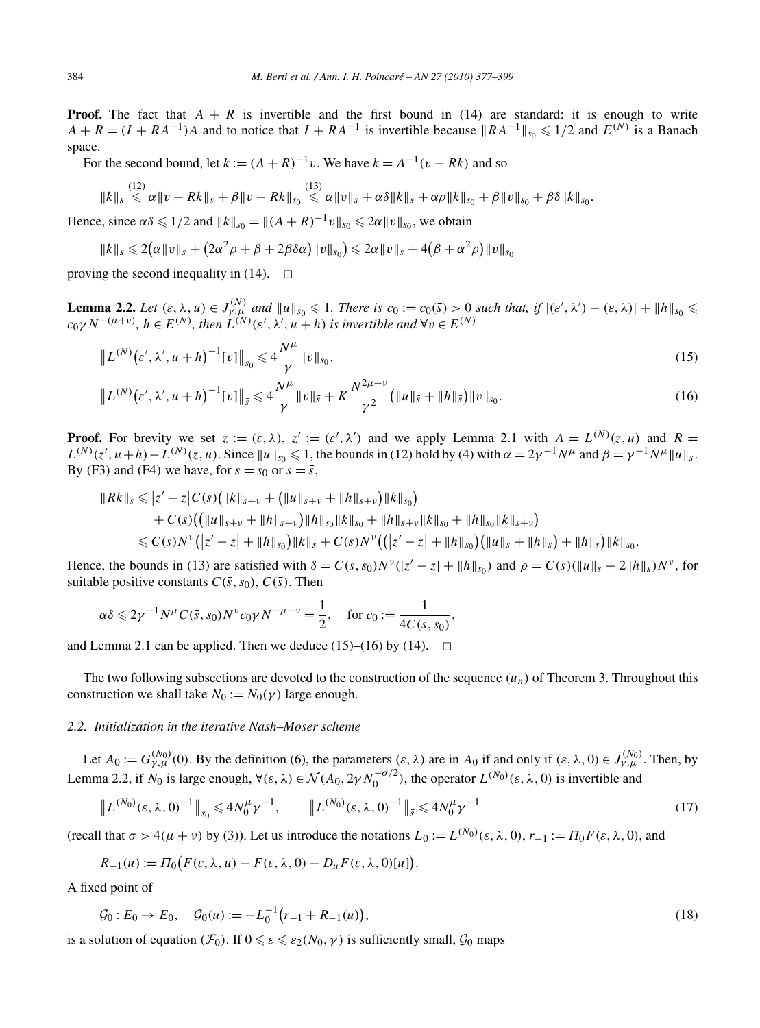**Proof.** The fact that  $A + R$  is invertible and the first bound in (14) are standard: it is enough to write  $A + R = (I + RA^{-1})A$  and to notice that  $I + RA^{-1}$  is invertible because  $||RA^{-1}||_{S_0} \le 1/2$  and  $E^{(N)}$  is a Banach space.

For the second bound, let  $k := (A + R)^{-1}v$ . We have  $k = A^{-1}(v - Rk)$  and so

$$
||k||_s \stackrel{(12)}{\leq} \alpha ||v - Rk||_s + \beta ||v - Rk||_{s_0} \stackrel{(13)}{\leq} \alpha ||v||_s + \alpha \delta ||k||_s + \alpha \rho ||k||_{s_0} + \beta ||v||_{s_0} + \beta \delta ||k||_{s_0}.
$$

Hence, since  $\alpha \delta \leq 1/2$  and  $||k||_{s_0} = ||(A + R)^{-1}v||_{s_0} \leq 2\alpha ||v||_{s_0}$ , we obtain

$$
\|k\|_{s} \leqslant 2(\alpha \|v\|_{s} + (2\alpha^2 \rho + \beta + 2\beta \delta \alpha)\|v\|_{s_{0}}) \leqslant 2\alpha \|v\|_{s} + 4(\beta + \alpha^2 \rho)\|v\|_{s_{0}}
$$

proving the second inequality in (14).  $\Box$ 

**Lemma 2.2.** Let  $(\varepsilon, \lambda, u) \in J_{\gamma,\mu}^{(N)}$  and  $||u||_{s_0} \leq 1$ . There is  $c_0 := c_0(\bar{s}) > 0$  such that, if  $|(\varepsilon', \lambda') - (\varepsilon, \lambda)| + ||h||_{s_0} \leq c_0 \gamma N^{-(\mu+\nu)}$ ,  $h \in E^{(N)}$ , then  $L^{(N)}(\varepsilon', \lambda', u + h)$  is invertible and  $\forall v \in E^{(N)}$ 

$$
\|L^{(N)}(\varepsilon', \lambda', u+h)^{-1}[v]\|_{s_0} \leqslant 4\frac{N^{\mu}}{\gamma} \|v\|_{s_0},\tag{15}
$$

$$
\|L^{(N)}(\varepsilon',\lambda',u+h)^{-1}[v]\|_{\bar{s}} \leqslant 4\frac{N^{\mu}}{\gamma}\|v\|_{\bar{s}} + K\frac{N^{2\mu+\nu}}{\gamma^2}\big(\|u\|_{\bar{s}} + \|h\|_{\bar{s}}\big)\|v\|_{s_0}.\tag{16}
$$

**Proof.** For brevity we set  $z := (\varepsilon, \lambda), z' := (\varepsilon', \lambda')$  and we apply Lemma 2.1 with  $A = L^{(N)}(z, u)$  and  $R =$  $L^{(N)}(z', u+h) - L^{(N)}(z, u)$ . Since  $||u||_{s_0} \le 1$ , the bounds in (12) hold by (4) with  $\alpha = 2\gamma^{-1}N^{\mu}$  and  $\beta = \gamma^{-1}N^{\mu}||u||_{\bar{s}}$ . By (F3) and (F4) we have, for  $s = s_0$  or  $s = \overline{s}$ ,

$$
||Rk||_s \leq |z'-z|C(s)(||k||_{s+v} + (||u||_{s+v} + ||h||_{s+v})||k||_{s_0})
$$
  
+  $C(s)((||u||_{s+v} + ||h||_{s+v})||h||_{s_0}||k||_{s_0} + ||h||_{s+v}||k||_{s_0} + ||h||_{s_0}||k||_{s+v})$   
 $\leq C(s)N^{\nu}(|z'-z| + ||h||_{s_0})||k||_s + C(s)N^{\nu}((|z'-z| + ||h||_{s_0})(||u||_s + ||h||_s) + ||h||_s)||k||_{s_0}.$ 

Hence, the bounds in (13) are satisfied with  $\delta = C(\bar{s}, s_0)N^{\nu}(|z'-z| + ||h||_{s_0})$  and  $\rho = C(\bar{s})(||u||_{\bar{s}} + 2||h||_{\bar{s}})N^{\nu}$ , for suitable positive constants  $C(\bar{s}, s_0)$ ,  $C(\bar{s})$ . Then

*,*

$$
\alpha \delta \leq 2\gamma^{-1} N^{\mu} C(\bar{s}, s_0) N^{\nu} c_0 \gamma N^{-\mu - \nu} = \frac{1}{2}, \quad \text{for } c_0 := \frac{1}{4C(\bar{s}, s_0)}
$$

and Lemma 2.1 can be applied. Then we deduce  $(15)$ – $(16)$  by  $(14)$ .  $\Box$ 

The two following subsections are devoted to the construction of the sequence  $(u_n)$  of Theorem 3. Throughout this construction we shall take  $N_0 := N_0(\gamma)$  large enough.

## *2.2. Initialization in the iterative Nash–Moser scheme*

Let  $A_0 := G_{\gamma,\mu}^{(N_0)}(0)$ . By the definition (6), the parameters  $(\varepsilon,\lambda)$  are in  $A_0$  if and only if  $(\varepsilon,\lambda,0) \in J_{\gamma,\mu}^{(N_0)}$ . Then, by Lemma 2.2, if  $N_0$  is large enough,  $\forall (\varepsilon, \lambda) \in \mathcal{N}(A_0, 2\gamma N_0^{-\sigma/2})$ , the operator  $L^{(N_0)}(\varepsilon, \lambda, 0)$  is invertible and

$$
\|L^{(N_0)}(\varepsilon,\lambda,0)^{-1}\|_{s_0} \leqslant 4N_0^{\mu}\gamma^{-1}, \qquad \|L^{(N_0)}(\varepsilon,\lambda,0)^{-1}\|_{\bar{s}} \leqslant 4N_0^{\mu}\gamma^{-1}
$$
\n(17)

(recall that  $\sigma > 4(\mu + \nu)$  by (3)). Let us introduce the notations  $L_0 := L^{(N_0)}(\varepsilon, \lambda, 0)$ ,  $r_{-1} := \Pi_0 F(\varepsilon, \lambda, 0)$ , and

$$
R_{-1}(u) := \Pi_0\bigl(F(\varepsilon,\lambda,u) - F(\varepsilon,\lambda,0) - D_u F(\varepsilon,\lambda,0)[u]\bigr).
$$

A fixed point of

$$
\mathcal{G}_0: E_0 \to E_0, \quad \mathcal{G}_0(u) := -L_0^{-1}(r_{-1} + R_{-1}(u)), \tag{18}
$$

is a solution of equation  $(\mathcal{F}_0)$ . If  $0 \le \varepsilon \le \varepsilon_2(N_0, \gamma)$  is sufficiently small,  $\mathcal{G}_0$  maps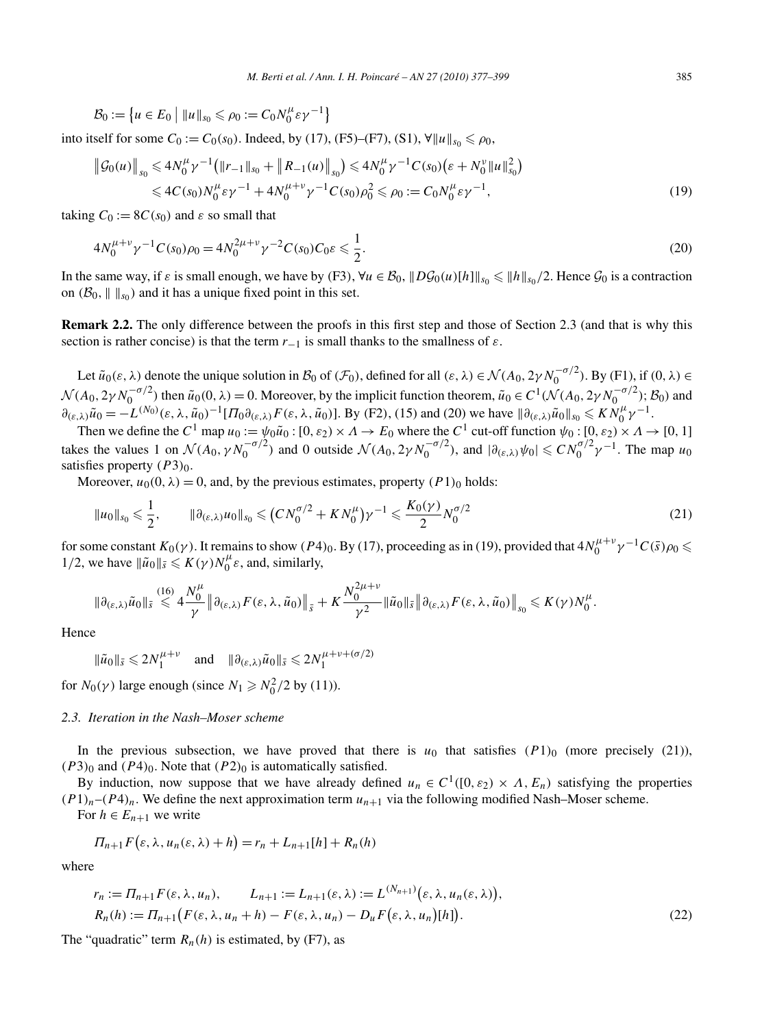$$
\mathcal{B}_0 := \left\{ u \in E_0 \mid ||u||_{s_0} \leq \rho_0 := C_0 N_0^{\mu} \varepsilon \gamma^{-1} \right\}
$$

into itself for some *C*<sub>0</sub> := *C*<sub>0</sub>(*s*<sub>0</sub>). Indeed, by (17), (F5)–(F7), (S1), ∀ $||u||_{s_0}$  ≤  $\rho_0$ ,

$$
\|\mathcal{G}_0(u)\|_{s_0} \leq 4N_0^{\mu} \gamma^{-1} \left( \|r_{-1}\|_{s_0} + \|R_{-1}(u)\|_{s_0} \right) \leq 4N_0^{\mu} \gamma^{-1} C(s_0) \left( \varepsilon + N_0^{\nu} \|u\|_{s_0}^2 \right)
$$
  

$$
\leq 4C(s_0)N_0^{\mu} \varepsilon \gamma^{-1} + 4N_0^{\mu+\nu} \gamma^{-1} C(s_0) \rho_0^2 \leq \rho_0 := C_0 N_0^{\mu} \varepsilon \gamma^{-1},
$$
 (19)

taking  $C_0 := 8C(s_0)$  and  $\varepsilon$  so small that

$$
4N_0^{\mu+\nu}\gamma^{-1}C(s_0)\rho_0 = 4N_0^{2\mu+\nu}\gamma^{-2}C(s_0)C_0\varepsilon \le \frac{1}{2}.
$$
\n(20)

In the same way, if  $\varepsilon$  is small enough, we have by *(F3)*,  $\forall u \in B_0$ ,  $||D\mathcal{G}_0(u)[h]||_{s_0} \le ||h||_{s_0}/2$ . Hence  $\mathcal{G}_0$  is a contraction on  $(\mathcal{B}_0, \| \|_{\mathfrak{s}_0})$  and it has a unique fixed point in this set.

**Remark 2.2.** The only difference between the proofs in this first step and those of Section 2.3 (and that is why this section is rather concise) is that the term  $r_{-1}$  is small thanks to the smallness of  $\varepsilon$ .

Let  $\tilde{u}_0(\varepsilon, \lambda)$  denote the unique solution in  $\mathcal{B}_0$  of  $(\mathcal{F}_0)$ , defined for all  $(\varepsilon, \lambda) \in \mathcal{N}(A_0, 2\gamma N_0^{-\sigma/2})$ . By (F1), if  $(0, \lambda) \in$  $\mathcal{N}(A_0, 2\gamma N_0^{-\sigma/2})$  then  $\tilde{u}_0(0, \lambda) = 0$ . Moreover, by the implicit function theorem,  $\tilde{u}_0 \in C^1(\mathcal{N}(A_0, 2\gamma N_0^{-\sigma/2}); \mathcal{B}_0)$  and  $\partial_{(\varepsilon,\lambda)}\tilde{u}_0 = -L^{(N_0)}(\varepsilon,\lambda,\tilde{u}_0)^{-1}[H_0\partial_{(\varepsilon,\lambda)}F(\varepsilon,\lambda,\tilde{u}_0)].$  By (F2), (15) and (20) we have  $\|\partial_{(\varepsilon,\lambda)}\tilde{u}_0\|_{s_0} \leq K\tilde{N}_0^{\mu}\gamma^{-1}$ .

Then we define the  $C^1$  map  $u_0 := \psi_0 \tilde{u}_0 : [0, \varepsilon_2) \times \Lambda \to E_0$  where the  $C^1$  cut-off function  $\psi_0 : [0, \varepsilon_2) \times \Lambda \to [0, 1]$ takes the values 1 on  $\mathcal{N}(A_0, \gamma N_0^{-\sigma/2})$  and 0 outside  $\mathcal{N}(A_0, 2\gamma N_0^{-\sigma/2})$ , and  $|\partial_{(\varepsilon,\lambda)}\psi_0| \leq C N_0^{\sigma/2} \gamma^{-1}$ . The map  $u_0$ satisfies property *(P*3*)*0.

Moreover,  $u_0(0, \lambda) = 0$ , and, by the previous estimates, property  $(P1)_0$  holds:

$$
\|u_0\|_{s_0} \leq \frac{1}{2}, \qquad \|\partial_{(\varepsilon,\lambda)} u_0\|_{s_0} \leq (CN_0^{\sigma/2} + KN_0^{\mu})\gamma^{-1} \leq \frac{K_0(\gamma)}{2}N_0^{\sigma/2}
$$
\n(21)

for some constant  $K_0(\gamma)$ . It remains to show  $(P4)_0$ . By (17), proceeding as in (19), provided that  $4N_0^{\mu+\nu}\gamma^{-1}C(\bar{s})\rho_0 \leq$ 1/2, we have  $\|\tilde{u}_0\|_{\bar{s}} \le K(\gamma)N_0^{\mu}\varepsilon$ , and, similarly,

$$
\|\partial_{(\varepsilon,\lambda)}\tilde{u}_0\|_{\bar{s}} \stackrel{(16)}{\leq} 4\frac{N_0^{\mu}}{\gamma} \|\partial_{(\varepsilon,\lambda)}F(\varepsilon,\lambda,\tilde{u}_0)\|_{\bar{s}} + K\frac{N_0^{2\mu+\nu}}{\gamma^2} \|\tilde{u}_0\|_{\bar{s}} \|\partial_{(\varepsilon,\lambda)}F(\varepsilon,\lambda,\tilde{u}_0)\|_{s_0} \leq K(\gamma)N_0^{\mu}.
$$

Hence

$$
\|\tilde{u}_0\|_{\bar{s}} \leq 2N_1^{\mu+\nu} \quad \text{and} \quad \|\partial_{(\varepsilon,\lambda)}\tilde{u}_0\|_{\bar{s}} \leq 2N_1^{\mu+\nu+(\sigma/2)}
$$

for  $N_0(\gamma)$  large enough (since  $N_1 \ge N_0^2/2$  by (11)).

#### *2.3. Iteration in the Nash–Moser scheme*

In the previous subsection, we have proved that there is  $u_0$  that satisfies  $(P1)_0$  (more precisely (21)),  $(P3)_0$  and  $(P4)_0$ . Note that  $(P2)_0$  is automatically satisfied.

By induction, now suppose that we have already defined  $u_n \in C^1([0, \varepsilon_2) \times \Lambda, E_n)$  satisfying the properties  $(P_1)_n - (P_2)_n$ . We define the next approximation term  $u_{n+1}$  via the following modified Nash–Moser scheme. For  $h \in E_{n+1}$  we write

$$
\Pi_{n+1} F(\varepsilon, \lambda, u_n(\varepsilon, \lambda) + h) = r_n + L_{n+1}[h] + R_n(h)
$$

where

$$
r_n := \Pi_{n+1} F(\varepsilon, \lambda, u_n), \qquad L_{n+1} := L_{n+1}(\varepsilon, \lambda) := L^{(N_{n+1})}(\varepsilon, \lambda, u_n(\varepsilon, \lambda)),
$$
  
\n
$$
R_n(h) := \Pi_{n+1} \big( F(\varepsilon, \lambda, u_n + h) - F(\varepsilon, \lambda, u_n) - D_u F(\varepsilon, \lambda, u_n)[h] \big).
$$
\n(22)

The "quadratic" term  $R_n(h)$  is estimated, by (F7), as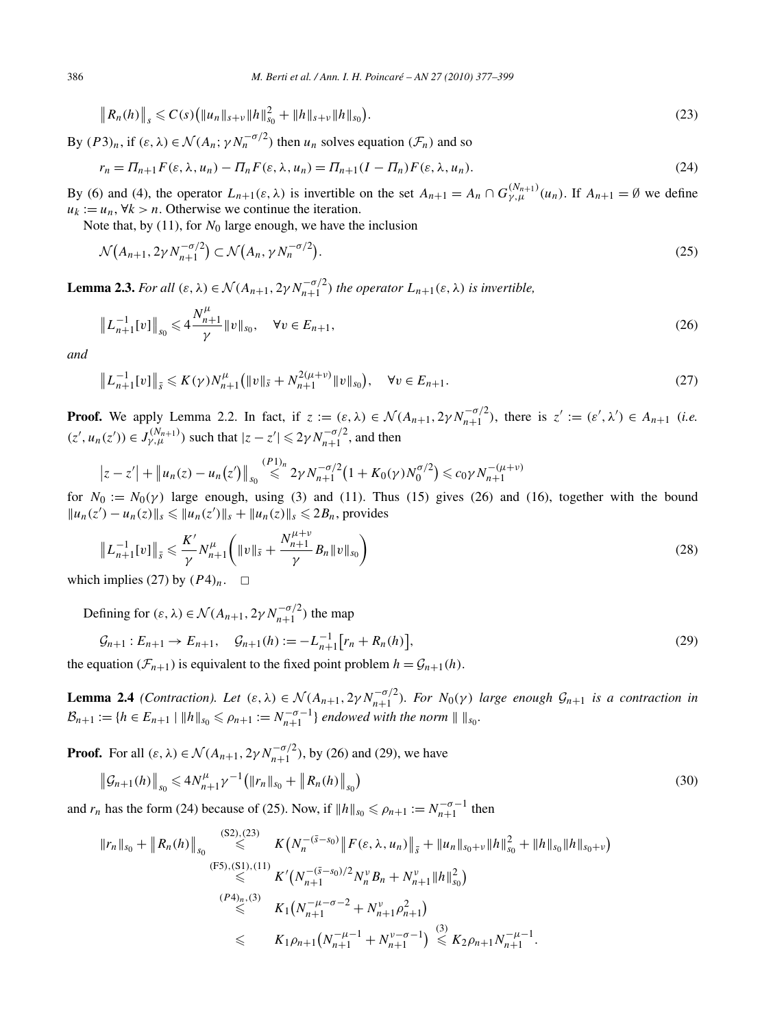$$
\|R_n(h)\|_{s} \leqslant C(s) \big( \|u_n\|_{s+v} \|h\|_{s_0}^2 + \|h\|_{s+v} \|h\|_{s_0} \big). \tag{23}
$$

By  $(P3)_n$ , if  $(\varepsilon, \lambda) \in \mathcal{N}(A_n; \gamma N_n^{-\sigma/2})$  then  $u_n$  solves equation  $(\mathcal{F}_n)$  and so

$$
r_n = \Pi_{n+1} F(\varepsilon, \lambda, u_n) - \Pi_n F(\varepsilon, \lambda, u_n) = \Pi_{n+1} (I - \Pi_n) F(\varepsilon, \lambda, u_n).
$$
\n(24)

By (6) and (4), the operator  $L_{n+1}(\varepsilon, \lambda)$  is invertible on the set  $A_{n+1} = A_n \cap G_{\gamma,\mu}^{(N_{n+1})}(u_n)$ . If  $A_{n+1} = \emptyset$  we define  $u_k := u_n, \forall k > n.$  Otherwise we continue the iteration.

Note that, by (11), for  $N_0$  large enough, we have the inclusion

$$
\mathcal{N}(A_{n+1}, 2\gamma N_{n+1}^{-\sigma/2}) \subset \mathcal{N}(A_n, \gamma N_n^{-\sigma/2}).
$$
\n
$$
(25)
$$

**Lemma 2.3.** *For all*  $(\varepsilon, \lambda) \in \mathcal{N}(A_{n+1}, 2\gamma N_{n+1}^{-\sigma/2})$  *the operator*  $L_{n+1}(\varepsilon, \lambda)$  *is invertible,* 

$$
\left\| L_{n+1}^{-1}[v] \right\|_{s_0} \leqslant 4 \frac{N_{n+1}^{\mu}}{\gamma} \| v \|_{s_0}, \quad \forall v \in E_{n+1}, \tag{26}
$$

*and*

$$
\|L_{n+1}^{-1}[v]\|_{\bar{s}} \leqslant K(\gamma)N_{n+1}^{\mu}\big(\|v\|_{\bar{s}} + N_{n+1}^{2(\mu+\nu)}\|v\|_{s_0}\big), \quad \forall v \in E_{n+1}.
$$
\n<sup>(27)</sup>

**Proof.** We apply Lemma 2.2. In fact, if  $z := (\varepsilon, \lambda) \in \mathcal{N}(A_{n+1}, 2\gamma N_{n+1}^{-\sigma/2})$ , there is  $z' := (\varepsilon', \lambda') \in A_{n+1}$  *(i.e.*)  $(z', u_n(z')) \in J_{\gamma,\mu}^{(N_{n+1})}$  such that  $|z - z'| \leq 2\gamma N_{n+1}^{-\sigma/2}$ , and then

$$
|z-z'| + \|u_n(z) - u_n(z')\|_{s_0} \stackrel{(P1)_n}{\leq} 2\gamma N_{n+1}^{-\sigma/2} (1 + K_0(\gamma)N_0^{\sigma/2}) \leq c_0\gamma N_{n+1}^{-(\mu+\nu)}
$$

for  $N_0 := N_0(\gamma)$  large enough, using (3) and (11). Thus (15) gives (26) and (16), together with the bound  $||u_n(z') - u_n(z)||_s$  ≤  $||u_n(z')||_s + ||u_n(z)||_s$  ≤ 2*B<sub>n</sub>*, provides

$$
\|L_{n+1}^{-1}[v]\|_{\bar{s}} \leqslant \frac{K'}{\gamma} N_{n+1}^{\mu} \left( \|v\|_{\bar{s}} + \frac{N_{n+1}^{\mu+\nu}}{\gamma} B_n \|v\|_{s_0} \right) \tag{28}
$$

which implies (27) by  $(P4)_n$ .  $\Box$ 

Defining for  $(\varepsilon, \lambda) \in \mathcal{N}(A_{n+1}, 2\gamma N_{n+1}^{-\sigma/2})$  the map

$$
\mathcal{G}_{n+1}: E_{n+1} \to E_{n+1}, \quad \mathcal{G}_{n+1}(h) := -L_{n+1}^{-1} [r_n + R_n(h)], \tag{29}
$$

the equation  $(\mathcal{F}_{n+1})$  is equivalent to the fixed point problem  $h = \mathcal{G}_{n+1}(h)$ .

**Lemma 2.4** *(Contraction). Let*  $(\varepsilon, \lambda) \in \mathcal{N}(A_{n+1}, 2\gamma N_{n+1}^{-\sigma/2})$ *. For*  $N_0(\gamma)$  *large enough*  $\mathcal{G}_{n+1}$  *is a contraction in*  $\mathcal{B}_{n+1} := \{ h \in E_{n+1} \mid \|h\|_{s_0} \leqslant \rho_{n+1} := N_{n+1}^{-\sigma-1} \}$  endowed with the norm  $\| \|s_0$ .

**Proof.** For all  $(\varepsilon, \lambda) \in \mathcal{N}(A_{n+1}, 2\gamma N_{n+1}^{-\sigma/2})$ , by (26) and (29), we have

$$
\left\| \mathcal{G}_{n+1}(h) \right\|_{s_0} \leqslant 4N_{n+1}^{\mu} \gamma^{-1} \big( \| r_n \|_{s_0} + \| R_n(h) \|_{s_0} \big) \tag{30}
$$

and  $r_n$  has the form (24) because of (25). Now, if  $||h||_{s_0} \le \rho_{n+1} := N_{n+1}^{-\sigma-1}$  then

$$
||r_{n}||_{s_{0}} + ||R_{n}(h)||_{s_{0}} \leqslant K\left(N_{n}^{-(\bar{s}-s_{0})}||F(\varepsilon,\lambda,u_{n})||_{\bar{s}} + ||u_{n}||_{s_{0}+\nu}||h||_{s_{0}}^{2} + ||h||_{s_{0}}||h||_{s_{0}+\nu}\right)
$$
\n
$$
\leqslant K'(N_{n+1}^{-(\bar{s}-s_{0})/2}N_{n}^{\nu}B_{n} + N_{n+1}^{\nu}||h||_{s_{0}}^{2})
$$
\n
$$
\leqslant K_{1}(N_{n+1}^{-\mu-\sigma-2} + N_{n+1}^{\nu}\rho_{n+1}^{2})
$$
\n
$$
\leqslant K_{1}\rho_{n+1}(N_{n+1}^{-\mu-1} + N_{n+1}^{\nu-\sigma-1}) \leqslant K_{2}\rho_{n+1}N_{n+1}^{-\mu-1}.
$$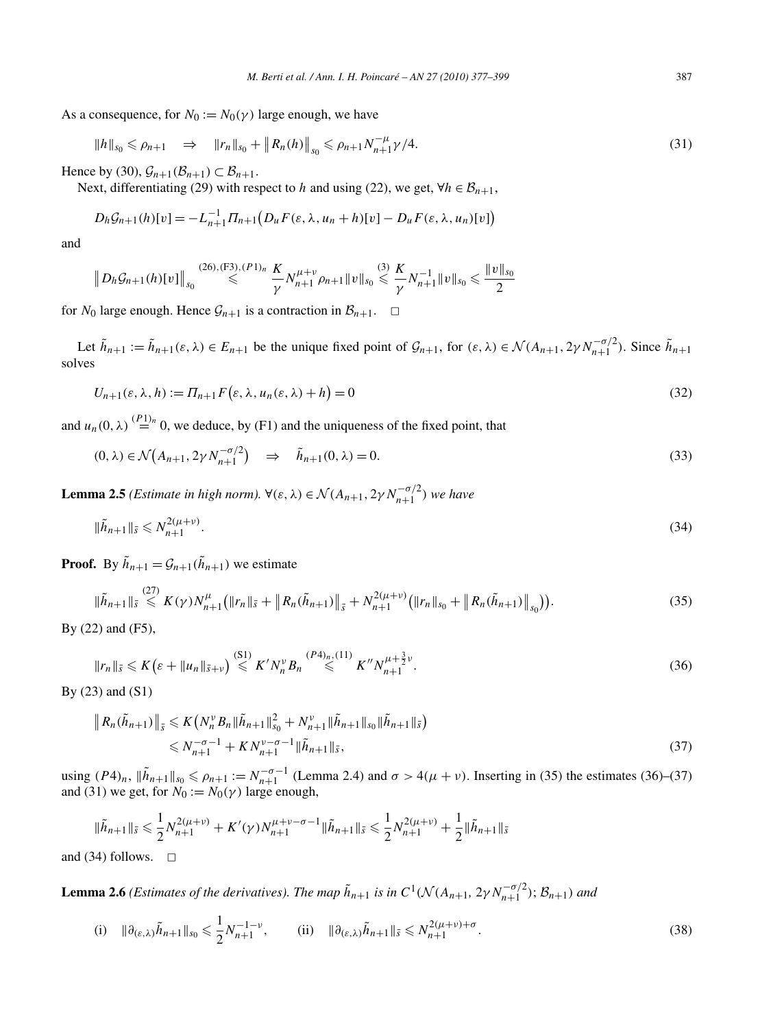As a consequence, for  $N_0 := N_0(\gamma)$  large enough, we have

$$
||h||_{s_0} \le \rho_{n+1} \quad \Rightarrow \quad ||r_n||_{s_0} + ||R_n(h)||_{s_0} \le \rho_{n+1} N_{n+1}^{-\mu} \gamma / 4. \tag{31}
$$

Hence by (30),  $\mathcal{G}_{n+1}(\mathcal{B}_{n+1}) \subset \mathcal{B}_{n+1}$ .

Next, differentiating (29) with respect to *h* and using (22), we get,  $\forall h \in \mathcal{B}_{n+1}$ ,

$$
D_h \mathcal{G}_{n+1}(h)[v] = -L_{n+1}^{-1} \Pi_{n+1} (D_u F(\varepsilon, \lambda, u_n + h)[v] - D_u F(\varepsilon, \lambda, u_n)[v])
$$

and

$$
||D_h \mathcal{G}_{n+1}(h)[v]||_{s_0} \stackrel{(26),(F3),(P1)_n}{\leq} \frac{K}{\gamma} N_{n+1}^{\mu+\nu} \rho_{n+1} ||v||_{s_0} \stackrel{(3)}{\leq} \frac{K}{\gamma} N_{n+1}^{-1} ||v||_{s_0} \leqslant \frac{||v||_{s_0}}{2}
$$

for  $N_0$  large enough. Hence  $\mathcal{G}_{n+1}$  is a contraction in  $\mathcal{B}_{n+1}$ .  $\square$ 

Let  $\tilde{h}_{n+1} := \tilde{h}_{n+1}(\varepsilon, \lambda) \in E_{n+1}$  be the unique fixed point of  $\mathcal{G}_{n+1}$ , for  $(\varepsilon, \lambda) \in \mathcal{N}(A_{n+1}, 2\gamma N_{n+1}^{-\sigma/2})$ . Since  $\tilde{h}_{n+1}$ solves

$$
U_{n+1}(\varepsilon, \lambda, h) := \Pi_{n+1} F(\varepsilon, \lambda, u_n(\varepsilon, \lambda) + h) = 0
$$
\n(32)

and  $u_n(0, \lambda) \stackrel{(P_1)_n}{=} 0$ , we deduce, by (F1) and the uniqueness of the fixed point, that

$$
(0, \lambda) \in \mathcal{N}\left(A_{n+1}, 2\gamma N_{n+1}^{-\sigma/2}\right) \quad \Rightarrow \quad \tilde{h}_{n+1}(0, \lambda) = 0. \tag{33}
$$

**Lemma 2.5** *(Estimate in high norm).*  $\forall (\varepsilon, \lambda) \in \mathcal{N}(A_{n+1}, 2\gamma N_{n+1}^{-\sigma/2})$  *we have* 

$$
\|\tilde{h}_{n+1}\|_{\bar{s}} \leq N_{n+1}^{2(\mu+\nu)}.
$$
\n(34)

**Proof.** By  $\tilde{h}_{n+1} = \mathcal{G}_{n+1}(\tilde{h}_{n+1})$  we estimate

$$
\|\tilde{h}_{n+1}\|_{\bar{s}} \leq K(\gamma)N_{n+1}^{\mu}(\|r_{n}\|_{\bar{s}} + \|R_{n}(\tilde{h}_{n+1})\|_{\bar{s}} + N_{n+1}^{2(\mu+\nu)}(\|r_{n}\|_{s_{0}} + \|R_{n}(\tilde{h}_{n+1})\|_{s_{0}})).
$$
\n(35)

By (22) and (F5),

$$
||r_n||_{\bar{s}} \leqslant K\left(\varepsilon + ||u_n||_{\bar{s}+\nu}\right) \stackrel{\text{(S1)}}{\leqslant} K' N_n^{\nu} B_n \stackrel{\text{(P4)}_n, (11)}{\leqslant} K'' N_{n+1}^{\mu+\frac{3}{2}\nu}.
$$
\n(36)

By (23) and (S1)

$$
\|R_n(\tilde{h}_{n+1})\|_{\bar{s}} \leq K\left(N_n^{\nu}B_n\|\tilde{h}_{n+1}\|_{s_0}^2 + N_{n+1}^{\nu}\|\tilde{h}_{n+1}\|_{s_0}\|\tilde{h}_{n+1}\|_{\bar{s}}\right)
$$
  
\$\leq N\_{n+1}^{-\sigma-1} + KN\_{n+1}^{\nu-\sigma-1}\|\tilde{h}\_{n+1}\|\_{\bar{s}}, \tag{37}

using *(P*4*)<sub>n</sub>*,  $\|\tilde{h}_{n+1}\|_{s_0}$  ≤  $\rho_{n+1} := N_{n+1}^{-\sigma-1}$  (Lemma 2.4) and  $\sigma > 4(μ + ν)$ . Inserting in (35) the estimates (36)–(37) and (31) we get, for  $N_0 := N_0(\gamma)$  large enough,

$$
\|\tilde{h}_{n+1}\|_{\bar{s}} \leq \frac{1}{2} N_{n+1}^{2(\mu+\nu)} + K'(\gamma) N_{n+1}^{\mu+\nu-\sigma-1} \|\tilde{h}_{n+1}\|_{\bar{s}} \leq \frac{1}{2} N_{n+1}^{2(\mu+\nu)} + \frac{1}{2} \|\tilde{h}_{n+1}\|_{\bar{s}}
$$

and (34) follows.  $\Box$ 

**Lemma 2.6** *(Estimates of the derivatives). The map*  $\tilde{h}_{n+1}$  *is in*  $C^1(\mathcal{N}(A_{n+1}, 2\gamma N_{n+1}^{-\sigma/2}); \mathcal{B}_{n+1})$  and

(i) 
$$
\|\partial_{(\varepsilon,\lambda)}\tilde{h}_{n+1}\|_{s_0} \leq \frac{1}{2}N_{n+1}^{-1-\nu}
$$
, (ii)  $\|\partial_{(\varepsilon,\lambda)}\tilde{h}_{n+1}\|_{\tilde{s}} \leq N_{n+1}^{2(\mu+\nu)+\sigma}$ . (38)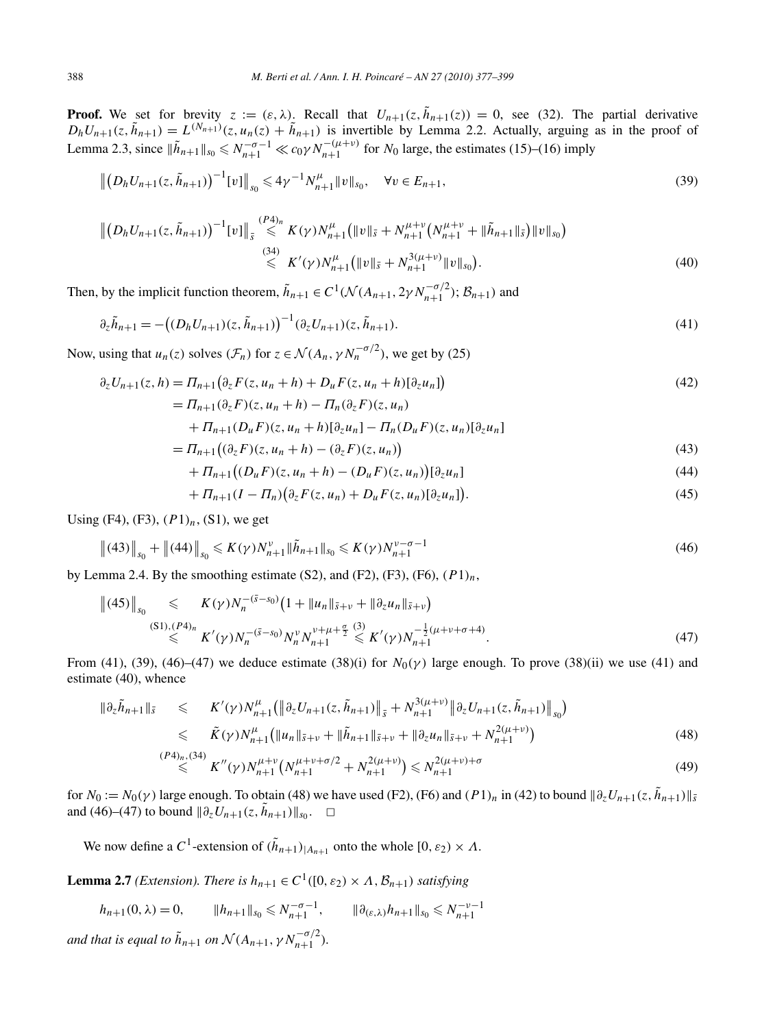**Proof.** We set for brevity  $z := (\varepsilon, \lambda)$ . Recall that  $U_{n+1}(z, \tilde{h}_{n+1}(z)) = 0$ , see (32). The partial derivative  $D_h U_{n+1}(z, \tilde{h}_{n+1}) = L^{(N_{n+1})}(z, u_n(z) + \tilde{h}_{n+1})$  is invertible by Lemma 2.2. Actually, arguing as in the proof of Lemma 2.3, since  $\|\tilde{h}_{n+1}\|_{s_0} \le N_{n+1}^{-\sigma-1} \ll c_0 \gamma N_{n+1}^{-(\mu+\nu)}$  for  $N_0$  large, the estimates (15)–(16) imply

$$
\left\| \left( D_h U_{n+1}(z, \tilde{h}_{n+1}) \right)^{-1} [v] \right\|_{s_0} \leqslant 4 \gamma^{-1} N_{n+1}^{\mu} \| v \|_{s_0}, \quad \forall v \in E_{n+1},
$$
\n(39)

$$
\| (D_h U_{n+1}(z, \tilde{h}_{n+1}))^{-1} [v] \|_{\tilde{s}} \overset{(P4)_n}{\leq} K(\gamma) N_{n+1}^{\mu} \left( \|v\|_{\tilde{s}} + N_{n+1}^{\mu+\nu} (N_{n+1}^{\mu+\nu} + \|\tilde{h}_{n+1}\|_{\tilde{s}}) \|v\|_{s_0} \right)
$$
  

$$
\overset{(34)}{\leq} K'(\gamma) N_{n+1}^{\mu} \left( \|v\|_{\tilde{s}} + N_{n+1}^{3(\mu+\nu)} \|v\|_{s_0} \right).
$$
 (40)

Then, by the implicit function theorem,  $\tilde{h}_{n+1} \in C^1(\mathcal{N}(A_{n+1}, 2\gamma N_{n+1}^{-\sigma/2}); \mathcal{B}_{n+1})$  and

$$
\partial_z \tilde{h}_{n+1} = -\big((D_h U_{n+1})(z, \tilde{h}_{n+1})\big)^{-1} (\partial_z U_{n+1})(z, \tilde{h}_{n+1}).\tag{41}
$$

Now, using that  $u_n(z)$  solves  $(\mathcal{F}_n)$  for  $z \in \mathcal{N}(A_n, \gamma N_n^{-\sigma/2})$ , we get by (25)

$$
\partial_z U_{n+1}(z, h) = \Pi_{n+1} \big( \partial_z F(z, u_n + h) + D_u F(z, u_n + h) [\partial_z u_n] \big) \n= \Pi_{\{x : (x, h) \in \mathcal{F}\}} \big( \mathcal{L}_{n+1}(z, u_n + h) + D_u F(z, u_n + h) [\partial_z u_n] \big)
$$
\n(42)

$$
= II_{n+1}(\partial_z F)(z, u_n + h) - II_n(\partial_z F)(z, u_n)
$$

$$
+ \Pi_{n+1}(D_{\mathfrak{u}} F)(z, u_n + h)[\partial_z u_n] - \Pi_n(D_{\mathfrak{u}} F)(z, u_n)[\partial_z u_n]
$$

$$
= \Pi_{n+1} \big( (\partial_z F)(z, u_n + h) - (\partial_z F)(z, u_n) \big) \tag{43}
$$

$$
+ \Pi_{n+1}((D_u F)(z, u_n + h) - (D_u F)(z, u_n))[\partial_z u_n]
$$
\n(44)

$$
+ \Pi_{n+1}(I - \Pi_n)(\partial_z F(z, u_n) + D_u F(z, u_n)[\partial_z u_n]). \tag{45}
$$

Using (F4), (F3), *(P*1*)n*, (S1), we get

$$
\|(43)\|_{s_0} + \|(44)\|_{s_0} \leqslant K(\gamma)N_{n+1}^{\nu} \|\tilde{h}_{n+1}\|_{s_0} \leqslant K(\gamma)N_{n+1}^{\nu-\sigma-1}
$$
\n<sup>(46)</sup>

by Lemma 2.4. By the smoothing estimate (S2), and  $(F2)$ ,  $(F3)$ ,  $(F6)$ ,  $(P1)_n$ ,

$$
\| (45) \|_{s_0} \leq K(\gamma) N_n^{-(5-s_0)} \left( 1 + \| u_n \|_{\bar{s}+\nu} + \| \partial_z u_n \|_{\bar{s}+\nu} \right)
$$
  

$$
\leq K'(\gamma) N_n^{-(5-s_0)} N_n^{\nu} N_{n+1}^{\nu+\mu+\frac{\sigma}{2}} \leq K'(\gamma) N_{n+1}^{-\frac{1}{2}(\mu+\nu+\sigma+4)}.
$$
  
(47)

From (41), (39), (46)–(47) we deduce estimate (38)(i) for  $N_0(\gamma)$  large enough. To prove (38)(ii) we use (41) and estimate (40), whence

$$
\|\partial_z \tilde{h}_{n+1}\|_{\tilde{s}} \leq K'(\gamma)N_{n+1}^{\mu}(\|\partial_z U_{n+1}(z, \tilde{h}_{n+1})\|_{\tilde{s}} + N_{n+1}^{3(\mu+\nu)} \|\partial_z U_{n+1}(z, \tilde{h}_{n+1})\|_{s_0})
$$
  
\n
$$
\leq \tilde{K}(\gamma)N_{n+1}^{\mu}(\|u_n\|_{\tilde{s}+\nu} + \|\tilde{h}_{n+1}\|_{\tilde{s}+\nu} + \|\partial_z u_n\|_{\tilde{s}+\nu} + N_{n+1}^{2(\mu+\nu)})
$$
  
\n
$$
\xrightarrow{(P4)_{n}} (34)_{\tau}M'(\gamma)N_{n+1}^{\mu+\nu}(\gamma)N_{n+1}^{\mu+\nu+1}(\gamma)_{\tilde{s}} + N_{n+1}^{2(\mu+\nu)}(\gamma)N_{n+1}^{2(\mu+\nu)}(\gamma)N_{n+1}^{2(\mu+\nu)}.
$$
 (48)

$$
\stackrel{P^4|n, (34)}{\leq} K''(\gamma) N_{n+1}^{\mu+\nu} \left( N_{n+1}^{\mu+\nu+\sigma/2} + N_{n+1}^{2(\mu+\nu)} \right) \leq N_{n+1}^{2(\mu+\nu)+\sigma} \tag{49}
$$

for  $N_0 := N_0(\gamma)$  large enough. To obtain (48) we have used (F2), (F6) and  $(P1)_n$  in (42) to bound  $\|\partial_z U_{n+1}(z, \tilde{h}_{n+1})\|_{\tilde{s}}$ and (46)–(47) to bound  $||\partial_z U_{n+1}(z, \tilde{h}_{n+1})||_{s_0}$ . <del></del>□

We now define a C<sup>1</sup>-extension of  $(\tilde{h}_{n+1})$ <sub>*A<sub>n+1</sub>*</sub> onto the whole  $[0, \varepsilon_2) \times \Lambda$ .

**Lemma 2.7** *(Extension). There is*  $h_{n+1} \in C^1([0, \varepsilon_2) \times \Lambda, \mathcal{B}_{n+1})$  *satisfying* 

$$
h_{n+1}(0, \lambda) = 0, \qquad \|h_{n+1}\|_{s_0} \leq N_{n+1}^{-\sigma-1}, \qquad \|\partial_{(\varepsilon,\lambda)} h_{n+1}\|_{s_0} \leq N_{n+1}^{-\nu-1}
$$
  
and that is equal to  $\tilde{h}_{n+1}$  on  $\mathcal{N}(A_{n+1}, \gamma N_{n+1}^{-\sigma/2}).$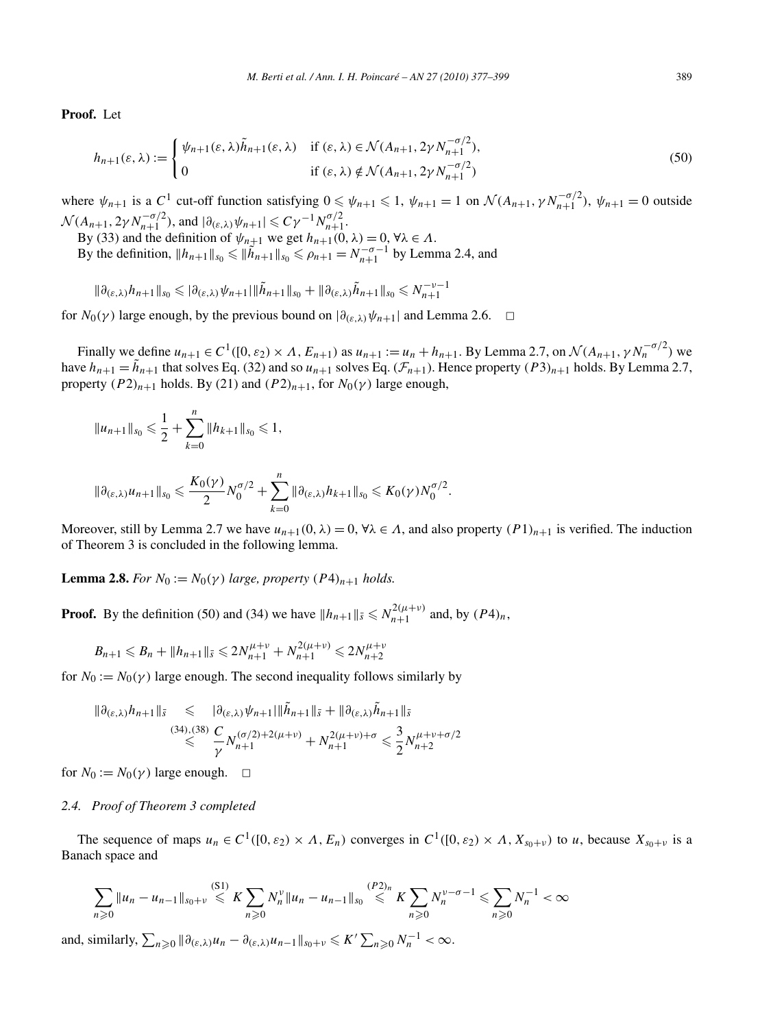**Proof.** Let

$$
h_{n+1}(\varepsilon,\lambda) := \begin{cases} \psi_{n+1}(\varepsilon,\lambda)\tilde{h}_{n+1}(\varepsilon,\lambda) & \text{if } (\varepsilon,\lambda) \in \mathcal{N}(A_{n+1}, 2\gamma N_{n+1}^{-\sigma/2}),\\ 0 & \text{if } (\varepsilon,\lambda) \notin \mathcal{N}(A_{n+1}, 2\gamma N_{n+1}^{-\sigma/2}) \end{cases}
$$
(50)

where  $\psi_{n+1}$  is a  $C^1$  cut-off function satisfying  $0 \le \psi_{n+1} \le 1$ ,  $\psi_{n+1} = 1$  on  $\mathcal{N}(A_{n+1}, \gamma N_{n+1}^{-\sigma/2})$ ,  $\psi_{n+1} = 0$  outside  $\mathcal{N}(A_{n+1}, 2\gamma N_{n+1}^{-\sigma/2}), \text{ and } |\partial_{(\varepsilon,\lambda)} \psi_{n+1}| \leq C\gamma^{-1} N_{n+1}^{\sigma/2}.$ 

By (33) and the definition of  $\psi_{n+1}$  we get  $h_{n+1}(0, \lambda) = 0$ ,  $\forall \lambda \in \Lambda$ .

By the definition,  $||h_{n+1}||_{s_0} \le ||\tilde{h}_{n+1}||_{s_0} \le \rho_{n+1} = N_{n+1}^{-\sigma-1}$  by Lemma 2.4, and

$$
\|\partial_{(\varepsilon,\lambda)} h_{n+1}\|_{s_0} \leqslant |\partial_{(\varepsilon,\lambda)} \psi_{n+1}|\|\tilde{h}_{n+1}\|_{s_0} + \|\partial_{(\varepsilon,\lambda)} \tilde{h}_{n+1}\|_{s_0} \leqslant N_{n+1}^{-\nu-1}
$$

for  $N_0(\gamma)$  large enough, by the previous bound on  $|\partial_{(\varepsilon,\lambda)}\psi_{n+1}|$  and Lemma 2.6.  $\Box$ 

Finally we define  $u_{n+1} \in C^1([0, \varepsilon_2) \times \Lambda, E_{n+1})$  as  $u_{n+1} := u_n + h_{n+1}$ . By Lemma 2.7, on  $\mathcal{N}(A_{n+1}, \gamma N_n^{-\sigma/2})$  we have  $h_{n+1} = \tilde{h}_{n+1}$  that solves Eq. (32) and so  $u_{n+1}$  solves Eq. ( $\mathcal{F}_{n+1}$ ). Hence property  $(P3)_{n+1}$  holds. By Lemma 2.7, property  $(P2)_{n+1}$  holds. By (21) and  $(P2)_{n+1}$ , for  $N_0(\gamma)$  large enough,

$$
||u_{n+1}||_{s_0} \leqslant \frac{1}{2} + \sum_{k=0}^n ||h_{k+1}||_{s_0} \leqslant 1,
$$

$$
\|\partial_{(\varepsilon,\lambda)}u_{n+1}\|_{s_0}\leqslant \frac{K_0(\gamma)}{2}N_0^{\sigma/2}+\sum_{k=0}^n\|\partial_{(\varepsilon,\lambda)}h_{k+1}\|_{s_0}\leqslant K_0(\gamma)N_0^{\sigma/2}.
$$

Moreover, still by Lemma 2.7 we have  $u_{n+1}(0, \lambda) = 0$ ,  $\forall \lambda \in \Lambda$ , and also property  $(P1)_{n+1}$  is verified. The induction of Theorem 3 is concluded in the following lemma.

**Lemma 2.8.** *For*  $N_0 := N_0(\gamma)$  *large, property*  $(P4)_{n+1}$  *holds.* 

**Proof.** By the definition (50) and (34) we have  $||h_{n+1}||_{\bar{s}} \le N_{n+1}^{2(\mu+\nu)}$  and, by  $(P4)_n$ ,

$$
B_{n+1} \leq B_n + ||h_{n+1}||_{\bar{s}} \leq 2N_{n+1}^{\mu+\nu} + N_{n+1}^{2(\mu+\nu)} \leq 2N_{n+2}^{\mu+\nu}
$$

for  $N_0 := N_0(\gamma)$  large enough. The second inequality follows similarly by

$$
\|\partial_{(\varepsilon,\lambda)}h_{n+1}\|_{\bar{s}} \leq \|\partial_{(\varepsilon,\lambda)}\psi_{n+1}\|\tilde{h}_{n+1}\|_{\bar{s}} + \|\partial_{(\varepsilon,\lambda)}\tilde{h}_{n+1}\|_{\bar{s}} \n\leq \frac{(34),(38)}{\gamma} \frac{C}{N_{n+1}}N_{n+1}^{(\sigma/2)+2(\mu+\nu)} + N_{n+1}^{2(\mu+\nu)+\sigma} \leq \frac{3}{2}N_{n+2}^{\mu+\nu+\sigma/2}
$$

for  $N_0 := N_0(\gamma)$  large enough.  $\Box$ 

# *2.4. Proof of Theorem 3 completed*

The sequence of maps  $u_n \in C^1([0, \varepsilon_2) \times \Lambda, E_n)$  converges in  $C^1([0, \varepsilon_2) \times \Lambda, X_{s_0+v}$  to *u*, because  $X_{s_0+v}$  is a Banach space and

$$
\sum_{n\geqslant 0} \|u_n - u_{n-1}\|_{s_0 + \nu} \leqslant K \sum_{n\geqslant 0} N_n^{\nu} \|u_n - u_{n-1}\|_{s_0} \leqslant K \sum_{n\geqslant 0} N_n^{\nu - \sigma - 1} \leqslant \sum_{n\geqslant 0} N_n^{-1} < \infty
$$

and, similarly,  $\sum_{n\geqslant 0} \|\partial_{(\varepsilon,\lambda)} u_n - \partial_{(\varepsilon,\lambda)} u_{n-1}\|_{s_0+\nu} \leqslant K' \sum_{n\geqslant 0} N_n^{-1} < \infty$ .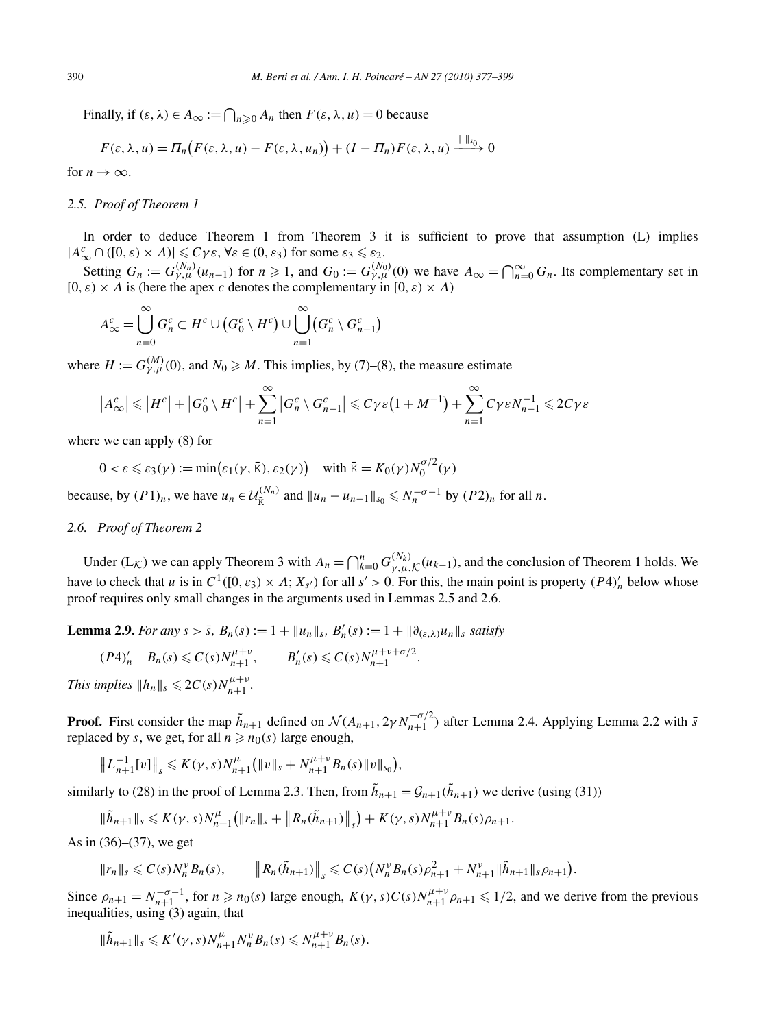Finally, if  $(\varepsilon, \lambda) \in A_\infty := \bigcap_{n \geq 0} A_n$  then  $F(\varepsilon, \lambda, u) = 0$  because

$$
F(\varepsilon, \lambda, u) = \Pi_n\big(F(\varepsilon, \lambda, u) - F(\varepsilon, \lambda, u_n)\big) + (I - \Pi_n)F(\varepsilon, \lambda, u) \xrightarrow{\| \| \cdot \|_{S_0}} 0
$$

for  $n \to \infty$ .

## *2.5. Proof of Theorem 1*

In order to deduce Theorem 1 from Theorem 3 it is sufficient to prove that assumption (L) implies  $|A_{\infty}^c \cap ([0, \varepsilon) \times \Lambda)| \leq C \gamma \varepsilon$ ,  $\forall \varepsilon \in (0, \varepsilon_3)$  for some  $\varepsilon_3 \leq \varepsilon_2$ .

Setting  $G_n := G_{\gamma,\mu}^{(N_n)}(u_{n-1})$  for  $n \ge 1$ , and  $G_0 := G_{\gamma,\mu}^{(N_0)}(0)$  we have  $A_\infty = \bigcap_{n=0}^\infty G_n$ . Its complementary set in  $[0, \varepsilon) \times \Lambda$  is (here the apex *c* denotes the complementary in  $[0, \varepsilon) \times \Lambda$ )

$$
A_{\infty}^c = \bigcup_{n=0}^{\infty} G_n^c \subset H^c \cup (G_0^c \setminus H^c) \cup \bigcup_{n=1}^{\infty} (G_n^c \setminus G_{n-1}^c)
$$

where  $H := G_{\gamma,\mu}^{(M)}(0)$ , and  $N_0 \ge M$ . This implies, by (7)–(8), the measure estimate

$$
\left|A_{\infty}^c\right| \leq \left|H^c\right| + \left|G_0^c \setminus H^c\right| + \sum_{n=1}^{\infty} \left|G_n^c \setminus G_{n-1}^c\right| \leq C\gamma\varepsilon\left(1 + M^{-1}\right) + \sum_{n=1}^{\infty} C\gamma\varepsilon N_{n-1}^{-1} \leq 2C\gamma\varepsilon
$$

where we can apply (8) for

$$
0 < \varepsilon \leq \varepsilon_3(\gamma) := \min\bigl(\varepsilon_1(\gamma, \bar{\kappa}), \varepsilon_2(\gamma)\bigr) \quad \text{with } \bar{\kappa} = K_0(\gamma)N_0^{\sigma/2}(\gamma)
$$

because, by  $(P1)_n$ , we have  $u_n \in \mathcal{U}_{\overline{K}}^{(N_n)}$  and  $||u_n - u_{n-1}||_{s_0} \leq N_n^{-\sigma-1}$  by  $(P2)_n$  for all *n*.

# *2.6. Proof of Theorem 2*

Under  $(L_K)$  we can apply Theorem 3 with  $A_n = \bigcap_{k=0}^n G_{\gamma,\mu,K}^{(N_k)}(u_{k-1})$ , and the conclusion of Theorem 1 holds. We have to check that *u* is in  $C^1([0, \varepsilon_3) \times \Lambda; X_{s'}$  for all  $s' > 0$ . For this, the main point is property  $(P4)'_n$  below whose proof requires only small changes in the arguments used in Lemmas 2.5 and 2.6.

**Lemma 2.9.** *For any*  $s > \bar{s}$ ,  $B_n(s) := 1 + ||u_n||_s$ ,  $B'_n(s) := 1 + ||\partial_{(\varepsilon,\lambda)} u_n||_s$  satisfy

$$
(P4)'_n B_n(s) \leq C(s)N_{n+1}^{\mu+\nu}, \qquad B'_n(s) \leq C(s)N_{n+1}^{\mu+\nu+\sigma/2}.
$$

*This implies*  $||h_n||_s \leq 2C(s)N_{n+1}^{\mu+\nu}$ .

**Proof.** First consider the map  $\tilde{h}_{n+1}$  defined on  $\mathcal{N}(A_{n+1}, 2\gamma N_{n+1}^{-\sigma/2})$  after Lemma 2.4. Applying Lemma 2.2 with *s* replaced by *s*, we get, for all  $n \ge n_0(s)$  large enough.

$$
\|L_{n+1}^{-1}[v]\|_{s} \leqslant K(\gamma,s)N_{n+1}^{\mu}\big(\|v\|_{s}+N_{n+1}^{\mu+\nu}B_{n}(s)\|v\|_{s_{0}}\big),
$$

similarly to (28) in the proof of Lemma 2.3. Then, from  $\tilde{h}_{n+1} = \mathcal{G}_{n+1}(\tilde{h}_{n+1})$  we derive (using (31))

$$
\|\tilde{h}_{n+1}\|_{s} \leqslant K(\gamma,s)N_{n+1}^{\mu}\big(\|r_{n}\|_{s}+\left\|R_{n}(\tilde{h}_{n+1})\right\|_{s}\big)+K(\gamma,s)N_{n+1}^{\mu+\nu}B_{n}(s)\rho_{n+1}.
$$

As in  $(36)–(37)$ , we get

$$
||r_n||_s \leqslant C(s)N_n^{\nu}B_n(s), \qquad ||R_n(\tilde{h}_{n+1})||_s \leqslant C(s)\big(N_n^{\nu}B_n(s)\rho_{n+1}^2+N_{n+1}^{\nu}||\tilde{h}_{n+1}||_s\rho_{n+1}\big).
$$

Since  $\rho_{n+1} = N_{n+1}^{-\sigma-1}$ , for  $n \ge n_0(s)$  large enough,  $K(\gamma, s)C(s)N_{n+1}^{\mu+\nu}\rho_{n+1} \le 1/2$ , and we derive from the previous inequalities, using (3) again, that

$$
\|\tilde{h}_{n+1}\|_s\leqslant K'(\gamma,s)N_{n+1}^{\mu}N_n^{\nu}B_n(s)\leqslant N_{n+1}^{\mu+\nu}B_n(s).
$$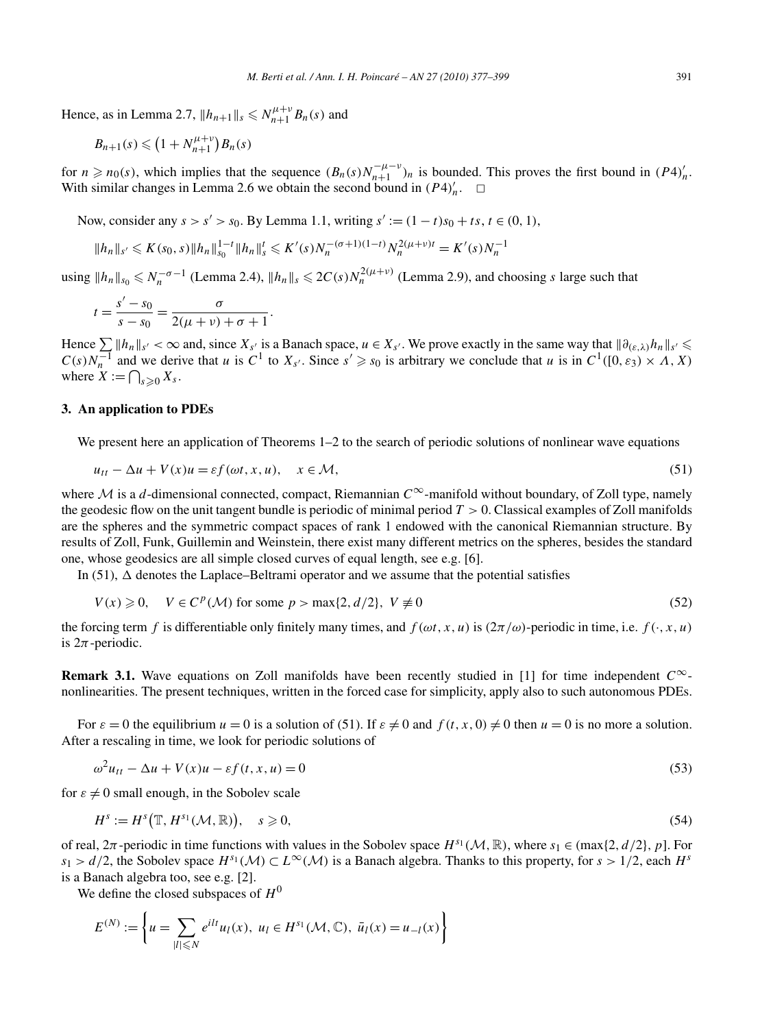Hence, as in Lemma 2.7,  $||h_{n+1}||_s \le N_{n+1}^{\mu+\nu} B_n(s)$  and

$$
B_{n+1}(s) \leqslant \left(1 + N_{n+1}^{\mu+\nu}\right)B_n(s)
$$

for  $n \ge n_0(s)$ , which implies that the sequence  $(B_n(s)N_{n+1}^{-\mu-\nu})_n$  is bounded. This proves the first bound in  $(P4)_n'$ . With similar changes in Lemma 2.6 we obtain the second bound in  $(P4)'_n$ .  $\Box$ 

Now, consider any  $s > s' > s_0$ . By Lemma 1.1, writing  $s' := (1 - t)s_0 + ts, t \in (0, 1)$ ,

$$
||h_n||_{s'} \leq K(s_0, s) ||h_n||_{s_0}^{1-t} ||h_n||_s^t \leq K'(s)N_n^{-(\sigma+1)(1-t)}N_n^{2(\mu+\nu)t} = K'(s)N_n^{-1}
$$

using  $||h_n||_{s_0} \le N_n^{-\sigma-1}$  (Lemma 2.4),  $||h_n||_s \le 2C(s)N_n^{2(\mu+\nu)}$  (Lemma 2.9), and choosing *s* large such that

$$
t = \frac{s' - s_0}{s - s_0} = \frac{\sigma}{2(\mu + \nu) + \sigma + 1}.
$$

Hence  $\sum ||h_n||_{s'} < \infty$  and, since  $X_{s'}$  is a Banach space,  $u \in X_{s'}$ . We prove exactly in the same way that  $||\partial_{(\varepsilon,\lambda)}h_n||_{s'} \leq C(s)N_n^{-1}$  and we derive that u is  $C^1$  to  $X_{s'}$ . Since  $s' \geq s_0$  is arbitrary we conclude where  $X := \bigcap_{s \geqslant 0} X_s$ .

# **3. An application to PDEs**

We present here an application of Theorems 1–2 to the search of periodic solutions of nonlinear wave equations

$$
u_{tt} - \Delta u + V(x)u = \varepsilon f(\omega t, x, u), \quad x \in \mathcal{M},
$$
\n(51)

where <sup>M</sup> is a *<sup>d</sup>*-dimensional connected, compact, Riemannian *<sup>C</sup>*∞-manifold without boundary, of Zoll type, namely the geodesic flow on the unit tangent bundle is periodic of minimal period *T >* 0. Classical examples of Zoll manifolds are the spheres and the symmetric compact spaces of rank 1 endowed with the canonical Riemannian structure. By results of Zoll, Funk, Guillemin and Weinstein, there exist many different metrics on the spheres, besides the standard one, whose geodesics are all simple closed curves of equal length, see e.g. [6].

In (51),  $\Delta$  denotes the Laplace–Beltrami operator and we assume that the potential satisfies

$$
V(x) \geqslant 0, \quad V \in C^{p}(\mathcal{M}) \text{ for some } p > \max\{2, d/2\}, \ V \neq 0
$$
\n
$$
(52)
$$

the forcing term *f* is differentiable only finitely many times, and  $f(\omega t, x, u)$  is  $(2\pi/\omega)$ -periodic in time, i.e.  $f(\cdot, x, u)$ is  $2\pi$ -periodic.

**Remark 3.1.** Wave equations on Zoll manifolds have been recently studied in [1] for time independent *C*∞ nonlinearities. The present techniques, written in the forced case for simplicity, apply also to such autonomous PDEs.

For  $\varepsilon = 0$  the equilibrium  $u = 0$  is a solution of (51). If  $\varepsilon \neq 0$  and  $f(t, x, 0) \neq 0$  then  $u = 0$  is no more a solution. After a rescaling in time, we look for periodic solutions of

$$
\omega^2 u_{tt} - \Delta u + V(x)u - \varepsilon f(t, x, u) = 0
$$
\n(53)

for  $\varepsilon \neq 0$  small enough, in the Sobolev scale

$$
H^s := H^s\big(\mathbb{T}, H^{s_1}(\mathcal{M}, \mathbb{R})\big), \quad s \geqslant 0,
$$
\n<sup>(54)</sup>

of real,  $2\pi$ -periodic in time functions with values in the Sobolev space  $H^{s_1}(\mathcal{M}, \mathbb{R})$ , where  $s_1 \in \{ \max\{2, d/2\}, p\}$ . For *s*<sub>1</sub> >  $d/2$ , the Sobolev space  $H^{s_1}(\mathcal{M}) \subset L^\infty(\mathcal{M})$  is a Banach algebra. Thanks to this property, for *s* > 1/2, each  $H^s$ is a Banach algebra too, see e.g. [2].

We define the closed subspaces of  $H^0$ 

$$
E^{(N)} := \left\{ u = \sum_{|l| \leq N} e^{ilt} u_l(x), \ u_l \in H^{s_1}(\mathcal{M}, \mathbb{C}), \ \bar{u}_l(x) = u_{-l}(x) \right\}
$$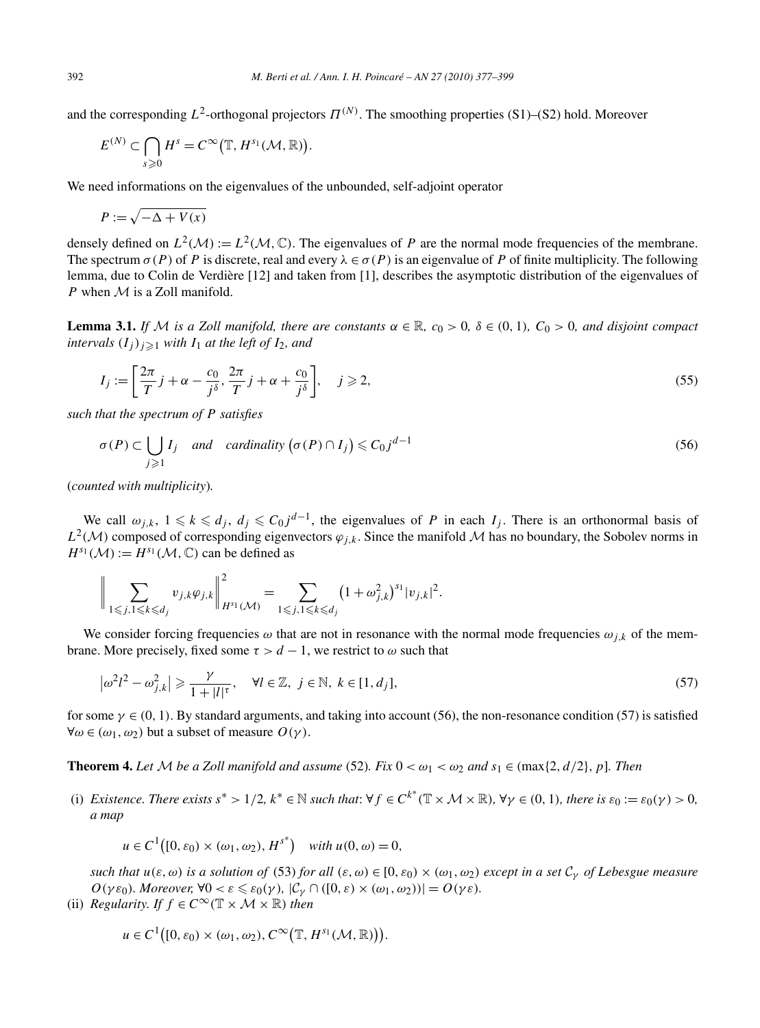and the corresponding  $L^2$ -orthogonal projectors  $\Pi^{(N)}$ . The smoothing properties (S1)–(S2) hold. Moreover

$$
E^{(N)} \subset \bigcap_{s \geq 0} H^s = C^{\infty}(\mathbb{T}, H^{s_1}(\mathcal{M}, \mathbb{R})).
$$

We need informations on the eigenvalues of the unbounded, self-adjoint operator

$$
P := \sqrt{-\Delta + V(x)}
$$

densely defined on  $L^2(\mathcal{M}) := L^2(\mathcal{M}, \mathbb{C})$ . The eigenvalues of *P* are the normal mode frequencies of the membrane. The spectrum  $\sigma(P)$  of P is discrete, real and every  $\lambda \in \sigma(P)$  is an eigenvalue of P of finite multiplicity. The following lemma, due to Colin de Verdière [12] and taken from [1], describes the asymptotic distribution of the eigenvalues of *P* when *M* is a Zoll manifold.

**Lemma 3.1.** *If* M *is a Zoll manifold, there are constants*  $\alpha \in \mathbb{R}$ ,  $c_0 > 0$ ,  $\delta \in (0, 1)$ ,  $C_0 > 0$ , and disjoint compact *intervals*  $(I_j)_{j\geqslant 1}$  *with*  $I_1$  *at the left of*  $I_2$ *, and* 

$$
I_j := \left[\frac{2\pi}{T}j + \alpha - \frac{c_0}{j^{\delta}}, \frac{2\pi}{T}j + \alpha + \frac{c_0}{j^{\delta}}\right], \quad j \geqslant 2,
$$
\n
$$
(55)
$$

*such that the spectrum of P satisfies*

$$
\sigma(P) \subset \bigcup_{j \geq 1} I_j \quad \text{and} \quad \text{cardinality}\left(\sigma(P) \cap I_j\right) \leq C_0 j^{d-1} \tag{56}
$$

(*counted with multiplicity*)*.*

We call  $\omega_{j,k}$ ,  $1 \leq k \leq d_j$ ,  $d_j \leq C_0 j^{d-1}$ , the eigenvalues of *P* in each  $I_j$ . There is an orthonormal basis of  $L^2(M)$  composed of corresponding eigenvectors  $\varphi_{j,k}$ . Since the manifold M has no boundary, the Sobolev norms in  $H^{s_1}(\mathcal{M}) := H^{s_1}(\mathcal{M}, \mathbb{C})$  can be defined as

$$
\bigg\|\sum_{1\leq j, 1\leq k\leq d_j} v_{j,k}\varphi_{j,k}\bigg\|_{H^{s_1}(\mathcal{M})}^2 = \sum_{1\leq j, 1\leq k\leq d_j} (1+\omega_{j,k}^2)^{s_1}|v_{j,k}|^2.
$$

 $\overline{2}$ 

We consider forcing frequencies  $\omega$  that are not in resonance with the normal mode frequencies  $\omega_{j,k}$  of the membrane. More precisely, fixed some  $\tau > d - 1$ , we restrict to  $\omega$  such that

$$
\left|\omega^2 l^2 - \omega_{j,k}^2\right| \geqslant \frac{\gamma}{1+|l|^{\tau}}, \quad \forall l \in \mathbb{Z}, \ j \in \mathbb{N}, \ k \in [1, d_j], \tag{57}
$$

for some  $\gamma \in (0, 1)$ . By standard arguments, and taking into account (56), the non-resonance condition (57) is satisfied ∀*ω* ∈ *(ω*1*,ω*2*)* but a subset of measure *O(γ)*.

**Theorem 4.** Let M be a Zoll manifold and assume (52). Fix  $0 < \omega_1 < \omega_2$  and  $s_1 \in (\max\{2, d/2\}, p]$ . Then

(i) Existence. There exists  $s^* > 1/2$ ,  $k^* \in \mathbb{N}$  such that:  $\forall f \in C^{k^*}(\mathbb{T} \times \mathcal{M} \times \mathbb{R})$ ,  $\forall \gamma \in (0, 1)$ , there is  $\varepsilon_0 := \varepsilon_0(\gamma) > 0$ , *a map*

$$
u \in C^1([0, \varepsilon_0) \times (\omega_1, \omega_2), H^{s^*}) \quad \text{with } u(0, \omega) = 0,
$$

*such that*  $u(\varepsilon, \omega)$  *is a solution of* (53) *for all*  $(\varepsilon, \omega) \in [0, \varepsilon_0) \times (\omega_1, \omega_2)$  *except in a set*  $C_\gamma$  *of Lebesgue measure*  $O(\gamma \varepsilon_0)$ *. Moreover,*  $\forall 0 < \varepsilon \leq \varepsilon_0(\gamma)$ *,*  $|\mathcal{C}_{\gamma} \cap ([0, \varepsilon) \times (\omega_1, \omega_2))| = O(\gamma \varepsilon)$ *.* 

(ii) *Regularity. If*  $f \in C^\infty(\mathbb{T} \times \mathcal{M} \times \mathbb{R})$  *then* 

$$
u \in C^1\big([0,\varepsilon_0) \times (\omega_1,\omega_2), C^\infty\big(\mathbb{T}, H^{s_1}(\mathcal{M}, \mathbb{R})\big)\big).
$$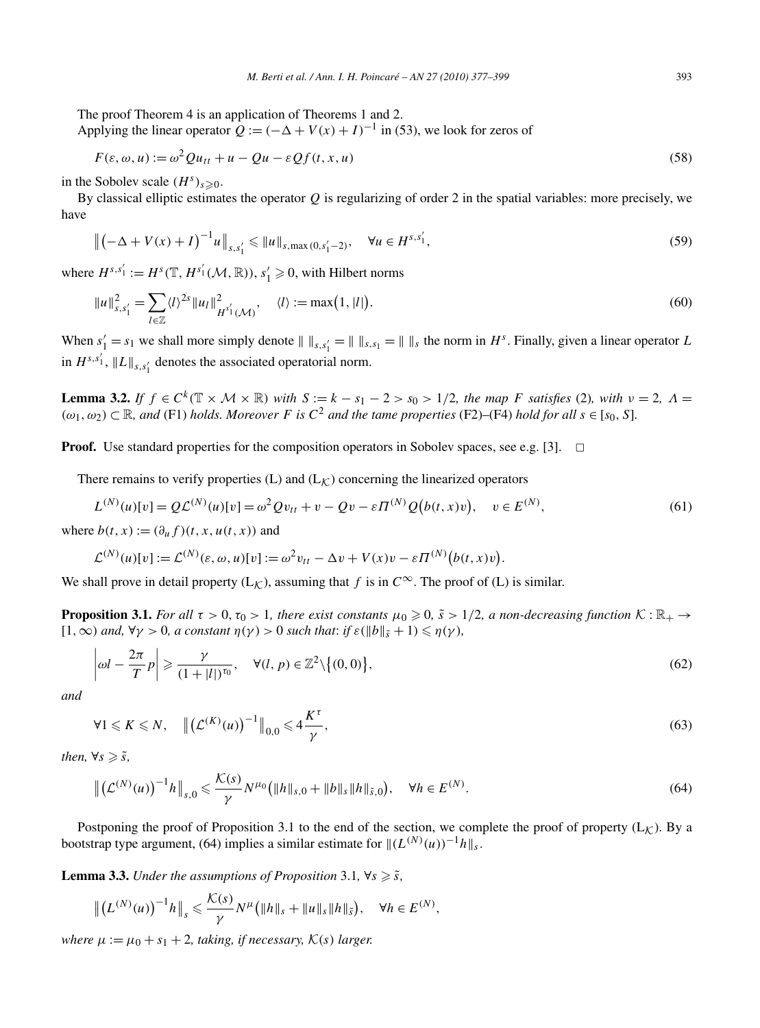The proof Theorem 4 is an application of Theorems 1 and 2.

Applying the linear operator  $Q := (-\Delta + V(x) + I)^{-1}$  in (53), we look for zeros of

$$
F(\varepsilon, \omega, u) := \omega^2 Q u_{tt} + u - Q u - \varepsilon Q f(t, x, u)
$$
\n(58)

in the Sobolev scale  $(H^s)_{s \geqslant 0}$ .

By classical elliptic estimates the operator *Q* is regularizing of order 2 in the spatial variables: more precisely, we have

$$
\left\| \left( -\Delta + V(x) + I \right)^{-1} u \right\|_{s, s_1'} \leqslant \| u \|_{s, \max(0, s_1' - 2)}, \quad \forall u \in H^{s, s_1'}, \tag{59}
$$

where  $H^{s,s'_1} := H^s(\mathbb{T}, H^{s'_1}(\mathcal{M}, \mathbb{R}))$ ,  $s'_1 \geq 0$ , with Hilbert norms

$$
||u||_{s,s'_1}^2 = \sum_{l \in \mathbb{Z}} \langle l \rangle^{2s} ||u_l||_{H^{s'_1}(\mathcal{M})}^2, \quad \langle l \rangle := \max(1, |l|). \tag{60}
$$

When  $s'_1 = s_1$  we shall more simply denote  $|| \, ||_{s,s'_1} = || \, ||_{s,s_1} = || \, ||_s$  the norm in  $H^s$ . Finally, given a linear operator *L* in  $H^{s,s'_1}$ ,  $||L||_{s,s'_1}$  denotes the associated operatorial norm.

**Lemma 3.2.** If  $f \in C^k(\mathbb{T} \times \mathcal{M} \times \mathbb{R})$  with  $S := k - s_1 - 2 > s_0 > 1/2$ , the map F satisfies (2), with  $v = 2$ ,  $\Lambda =$  $(\omega_1, \omega_2) \subset \mathbb{R}$ , and (F1) *holds. Moreover F* is  $C^2$  and the tame properties (F2)–(F4) *hold for all*  $s \in [s_0, S]$ .

**Proof.** Use standard properties for the composition operators in Sobolev spaces, see e.g. [3].  $\Box$ 

There remains to verify properties (L) and  $(L_K)$  concerning the linearized operators

$$
L^{(N)}(u)[v] = QL^{(N)}(u)[v] = \omega^2 Q v_{tt} + v - Qv - \varepsilon \Pi^{(N)} Q(b(t, x)v), \quad v \in E^{(N)},
$$
\n(61)

where  $b(t, x) := (\partial_u f)(t, x, u(t, x))$  and

$$
\mathcal{L}^{(N)}(u)[v] := \mathcal{L}^{(N)}(\varepsilon, \omega, u)[v] := \omega^2 v_{tt} - \Delta v + V(x)v - \varepsilon \Pi^{(N)}(b(t, x)v).
$$

We shall prove in detail property  $(L_K)$ , assuming that *f* is in  $C^{\infty}$ . The proof of (L) is similar.

**Proposition 3.1.** *For all*  $\tau > 0$ ,  $\tau_0 > 1$ *, there exist constants*  $\mu_0 \geq 0$ ,  $\tilde{s} > 1/2$ *, a non-decreasing function*  $K : \mathbb{R}_+ \to$  $[1, \infty)$  *and,*  $\forall \gamma > 0$ *, a constant*  $\eta(\gamma) > 0$  *such that: if*  $\varepsilon(\Vert b \Vert_{\tilde{s}} + 1) \leq \eta(\gamma)$ *,* 

$$
\left|\omega l - \frac{2\pi}{T}p\right| \geqslant \frac{\gamma}{(1+|l|)^{\tau_0}}, \quad \forall (l, p) \in \mathbb{Z}^2 \setminus \left\{(0, 0)\right\},\tag{62}
$$

*and*

$$
\forall 1 \leqslant K \leqslant N, \quad \left\| \left( \mathcal{L}^{(K)}(u) \right)^{-1} \right\|_{0,0} \leqslant 4 \frac{K^{\tau}}{\gamma},\tag{63}
$$

*then,*  $\forall s \geqslant \tilde{s}$ *,* 

$$
\left\| \left( \mathcal{L}^{(N)}(u) \right)^{-1} h \right\|_{s,0} \leqslant \frac{\mathcal{K}(s)}{\gamma} N^{\mu_0} \big( \|h\|_{s,0} + \|b\|_{s} \|h\|_{\tilde{s},0} \big), \quad \forall h \in E^{(N)}.
$$
\n
$$
(64)
$$

Postponing the proof of Proposition 3.1 to the end of the section, we complete the proof of property  $(L_K)$ . By a bootstrap type argument, (64) implies a similar estimate for  $\|(L^{(N)}(u))^{-1}h\|_{s}$ .

**Lemma 3.3.** *Under the assumptions of Proposition* 3.1,  $\forall s \geqslant \tilde{s}$ *,* 

$$
\left\| \left( L^{(N)}(u) \right)^{-1} h \right\|_s \leqslant \frac{\mathcal{K}(s)}{\gamma} N^{\mu} \big( \| h \|_s + \| u \|_s \| h \|_{\tilde{s}} \big), \quad \forall h \in E^{(N)},
$$

*where*  $\mu := \mu_0 + s_1 + 2$ , *taking, if necessary,*  $\mathcal{K}(s)$  *larger.*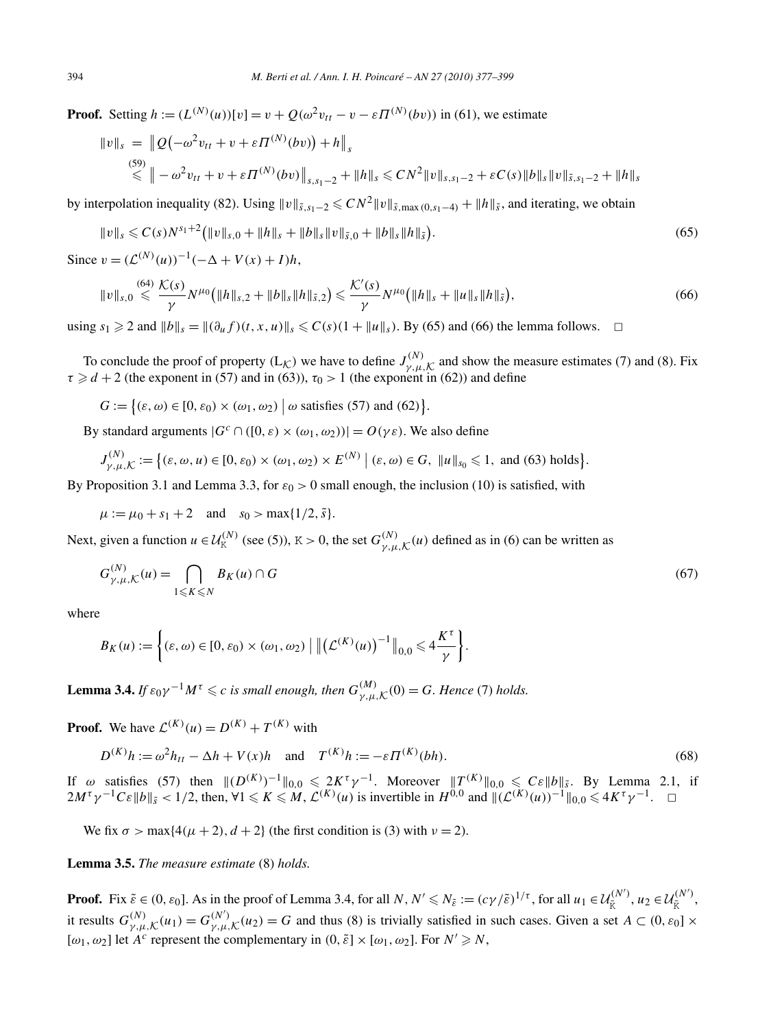**Proof.** Setting  $h := (L^{(N)}(u))[v] = v + Q(\omega^2 v_{tt} - v - \varepsilon \Pi^{(N)}(bv))$  in (61), we estimate

$$
\|v\|_{s} = \|Q(-\omega^{2}v_{tt} + v + \varepsilon \Pi^{(N)}(bv)) + h\|_{s}
$$
  
\n
$$
\leq \| -\omega^{2}v_{tt} + v + \varepsilon \Pi^{(N)}(bv)\|_{s,s_{1}-2} + \|h\|_{s} \leq CN^{2} \|v\|_{s,s_{1}-2} + \varepsilon C(s) \|b\|_{s} \|v\|_{s,s_{1}-2} + \|h\|_{s}
$$

by interpolation inequality (82). Using  $||v||_{\tilde{s}, s_1-2} \leq C N^2 ||v||_{\tilde{s}, \max(0, s_1-4)} + ||h||_{\tilde{s}}$ , and iterating, we obtain

$$
||v||_{s} \leqslant C(s)N^{s_{1}+2} (||v||_{s,0} + ||h||_{s} + ||b||_{s}||v||_{\tilde{s},0} + ||b||_{s}||h||_{\tilde{s}}).
$$
\n
$$
(65)
$$

Since  $v = (L^{(N)}(u))^{-1}(-\Delta + V(x) + I)h$ .

$$
||v||_{s,0} \leqslant \frac{64}{\gamma} \frac{\mathcal{K}(s)}{\gamma} N^{\mu_0} \big( ||h||_{s,2} + ||b||_{s} ||h||_{\tilde{s},2} \big) \leqslant \frac{\mathcal{K}'(s)}{\gamma} N^{\mu_0} \big( ||h||_{s} + ||u||_{s} ||h||_{\tilde{s}} \big), \tag{66}
$$

using  $s_1 \geq 2$  and  $||b||_s = ||(\partial_u f)(t, x, u)||_s \leq C(s)(1 + ||u||_s)$ . By (65) and (66) the lemma follows.  $\Box$ 

To conclude the proof of property  $(L_K)$  we have to define  $J_{\gamma,\mu,K}^{(N)}$  and show the measure estimates (7) and (8). Fix  $\tau \ge d + 2$  (the exponent in (57) and in (63)),  $\tau_0 > 1$  (the exponent in (62)) and define

 $G := \{ (\varepsilon, \omega) \in [0, \varepsilon_0) \times (\omega_1, \omega_2) \mid \omega \text{ satisfies (57) and (62)} \}.$ 

By standard arguments  $|G^c \cap ([0, \varepsilon) \times (\omega_1, \omega_2))| = O(\gamma \varepsilon)$ . We also define

$$
J_{\gamma,\mu,\mathcal{K}}^{(N)} := \left\{ (\varepsilon,\omega,u) \in [0,\varepsilon_0) \times (\omega_1,\omega_2) \times E^{(N)} \mid (\varepsilon,\omega) \in G, \ \|u\|_{s_0} \leq 1, \text{ and (63) holds} \right\}.
$$

By Proposition 3.1 and Lemma 3.3, for  $\varepsilon_0 > 0$  small enough, the inclusion (10) is satisfied, with

 $\mu := \mu_0 + s_1 + 2$  and  $s_0 > \max\{1/2, \tilde{s}\}.$ 

Next, given a function  $u \in \mathcal{U}_K^{(N)}$  (see (5)),  $K > 0$ , the set  $G_{\gamma,\mu,K}^{(N)}(u)$  defined as in (6) can be written as

$$
G_{\gamma,\mu,\mathcal{K}}^{(N)}(u) = \bigcap_{1 \leqslant K \leqslant N} B_K(u) \cap G \tag{67}
$$

where

$$
B_K(u) := \left\{ (\varepsilon, \omega) \in [0, \varepsilon_0) \times (\omega_1, \omega_2) \mid \left\| \left( \mathcal{L}^{(K)}(u) \right)^{-1} \right\|_{0,0} \leq 4 \frac{K^{\tau}}{\gamma} \right\}.
$$

**Lemma 3.4.** *If*  $\varepsilon_0 \gamma^{-1} M^{\tau} \leq c$  *is small enough, then*  $G_{\gamma,\mu,\mathcal{K}}^{(M)}(0) = G$ *. Hence* (7) *holds.* 

**Proof.** We have  $\mathcal{L}^{(K)}(u) = D^{(K)} + T^{(K)}$  with

$$
D^{(K)}h := \omega^2 h_{tt} - \Delta h + V(x)h \quad \text{and} \quad T^{(K)}h := -\varepsilon \Pi^{(K)}(bh). \tag{68}
$$

If  $\omega$  satisfies (57) then  $||(D^{(K)})^{-1}||_{0,0} \le 2K^{\tau}\gamma^{-1}$ . Moreover  $||T^{(K)}||_{0,0} \le C\epsilon ||b||_{\tilde{s}}$ . By Lemma 2.1, if  $2M^{\tau}\gamma^{-1}C\varepsilon||b||_{\tilde{s}} < 1/2$ , then,  $\forall 1 \leq K \leq M$ ,  $\mathcal{L}^{(K)}(u)$  is invertible in  $H^{0,0}$  and  $\|(\mathcal{L}^{(K)}(u))^{-1}\|_{0,0} \leq 4K^{\tau}\gamma^{-1}$ .  $\square$ 

We fix  $\sigma$  > max{4( $\mu$  + 2),  $d$  + 2} (the first condition is (3) with  $\nu$  = 2).

**Lemma 3.5.** *The measure estimate* (8) *holds.*

**Proof.** Fix  $\tilde{\varepsilon} \in (0, \varepsilon_0]$ . As in the proof of Lemma 3.4, for all  $N, N' \le N_{\tilde{\varepsilon}} := (c\gamma/\tilde{\varepsilon})^{1/\tau}$ , for all  $u_1 \in \mathcal{U}_{\tilde{K}}^{(N')}$ ,  $u_2 \in \mathcal{U}_{\tilde{K}}^{(N')}$ , it results  $G_{\gamma,\mu,\mathcal{K}}^{(N)}(u_1) = G_{\gamma,\mu,\mathcal{K}}^{(N')}(u_2) = G$  and thus (8) is trivially satisfied in such cases. Given a set  $A \subset (0, \varepsilon_0] \times$  $[\omega_1, \omega_2]$  let *A<sup>c</sup>* represent the complementary in  $(0, \tilde{\varepsilon}] \times [\omega_1, \omega_2]$ . For  $N' \ge N$ ,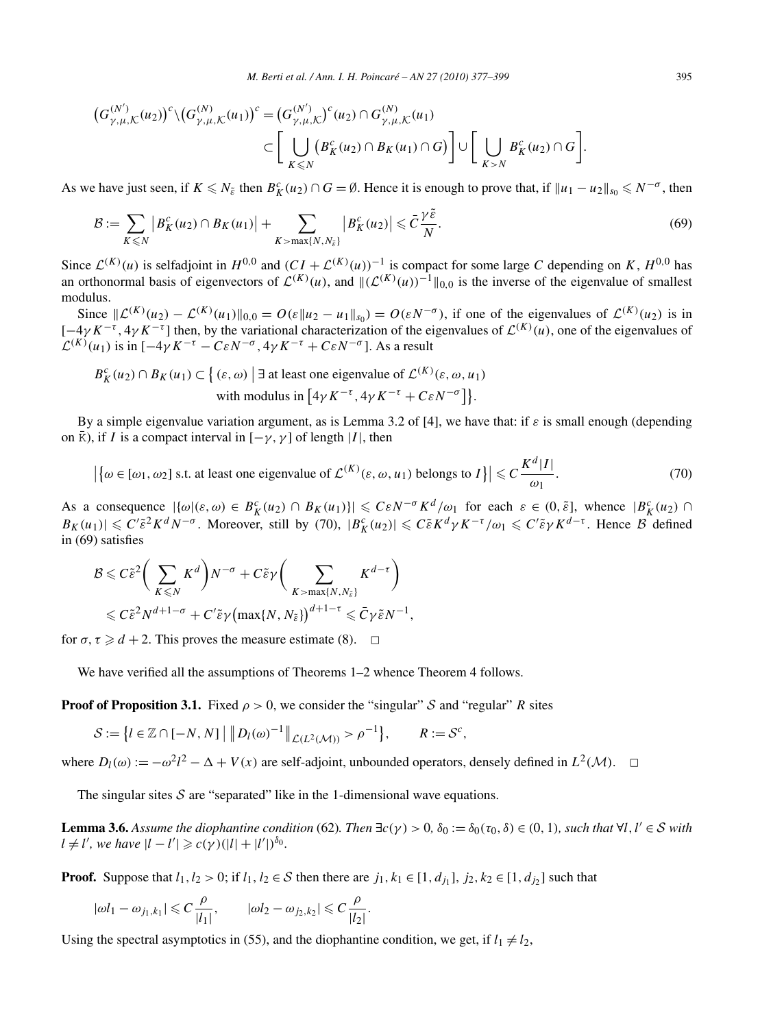$$
(G_{\gamma,\mu,\mathcal{K}}^{(N')}(u_2))^c \setminus (G_{\gamma,\mu,\mathcal{K}}^{(N)}(u_1))^c = (G_{\gamma,\mu,\mathcal{K}}^{(N')})^c (u_2) \cap G_{\gamma,\mu,\mathcal{K}}^{(N)}(u_1)
$$
  

$$
\subset \left[ \bigcup_{K \leq N} \left( B_K^c(u_2) \cap B_K(u_1) \cap G \right) \right] \cup \left[ \bigcup_{K > N} B_K^c(u_2) \cap G \right].
$$

As we have just seen, if  $K \le N_{\tilde{\varepsilon}}$  then  $B_K^c(u_2) \cap G = \emptyset$ . Hence it is enough to prove that, if  $||u_1 - u_2||_{s_0} \le N^{-\sigma}$ , then

$$
\mathcal{B} := \sum_{K \leq N} \left| B_K^c(u_2) \cap B_K(u_1) \right| + \sum_{K > \max\{N, N_{\tilde{\varepsilon}}\}} \left| B_K^c(u_2) \right| \leqslant \bar{C} \frac{\gamma \tilde{\varepsilon}}{N}.
$$
\n
$$
(69)
$$

Since  $\mathcal{L}^{(K)}(u)$  is selfadjoint in  $H^{0,0}$  and  $(CI + \mathcal{L}^{(K)}(u))^{-1}$  is compact for some large *C* depending on *K*,  $H^{0,0}$  has an orthonormal basis of eigenvectors of  $\mathcal{L}^{(K)}(u)$ , and  $\|(\mathcal{L}^{(K)}(u))^{-1}\|_{0,0}$  is the inverse of the eigenvalue of smallest modulus.

Since  $\|\mathcal{L}^{(K)}(u_2) - \mathcal{L}^{(K)}(u_1)\|_{0,0} = O(\varepsilon \|u_2 - u_1\|_{s_0}) = O(\varepsilon N^{-\sigma})$ , if one of the eigenvalues of  $\mathcal{L}^{(K)}(u_2)$  is in  $[-4\gamma K^{-\tau}, 4\gamma K^{-\tau}]$  then, by the variational characterization of the eigenvalues of  $\mathcal{L}^{(K)}(u)$ , one of the eigenvalues of  $\mathcal{L}^{(K)}(u_1)$  is in  $[-4\gamma K^{-\tau} - C\epsilon N^{-\sigma}, 4\gamma K^{-\tau} + C\epsilon N^{-\sigma}]$ . As a result

$$
B_K^c(u_2) \cap B_K(u_1) \subset \left\{ (\varepsilon, \omega) \mid \exists \text{ at least one eigenvalue of } \mathcal{L}^{(K)}(\varepsilon, \omega, u_1) \right\}
$$
  
with modulus in  $\left[ 4\gamma K^{-\tau}, 4\gamma K^{-\tau} + C\varepsilon N^{-\sigma} \right] \right\}.$ 

By a simple eigenvalue variation argument, as is Lemma 3.2 of [4], we have that: if *ε* is small enough (depending on  $\bar{K}$ ), if *I* is a compact interval in  $[-\gamma, \gamma]$  of length |*I*|, then

$$
\left| \left\{ \omega \in [\omega_1, \omega_2] \text{ s.t. at least one eigenvalue of } \mathcal{L}^{(K)}(\varepsilon, \omega, u_1) \text{ belongs to } I \right\} \right| \leq C \frac{K^d |I|}{\omega_1}.
$$
 (70)

As a consequence  $|\{\omega|(\varepsilon,\omega) \in B_K^c(u_2) \cap B_K(u_1)\}| \leqslant C\varepsilon N^{-\sigma} K^d/\omega_1$  for each  $\varepsilon \in (0,\tilde{\varepsilon}]$ , whence  $|B_K^c(u_2) \cap B_K^c(u_1)| \leqslant C\varepsilon N^{-\sigma} K^d/\omega_1$  for each  $\varepsilon \in (0,\tilde{\varepsilon}]$ , whence  $|B_K^c(u_2) \cap B_K^c(u_1)| \leqslant C\varepsilon N^{-\sigma} K^d$  $B_K(u_1) \leq C' \tilde{\varepsilon}^2 K^d N^{-\sigma}$ . Moreover, still by (70),  $|B_K^c(u_2)| \leq C \tilde{\varepsilon} K^d \gamma K^{-\tau}/\omega_1 \leq C' \tilde{\varepsilon} \gamma K^{d-\tau}$ . Hence  $\beta$  defined in (69) satisfies

$$
\mathcal{B} \leqslant C\tilde{\varepsilon}^{2} \bigg( \sum_{K \leqslant N} K^{d} \bigg) N^{-\sigma} + C\tilde{\varepsilon}\gamma \bigg( \sum_{K > \max\{N, N_{\tilde{\varepsilon}}\}} K^{d-\tau} \bigg) \leqslant C\tilde{\varepsilon}^{2} N^{d+1-\sigma} + C'\tilde{\varepsilon}\gamma \big( \max\{N, N_{\tilde{\varepsilon}}\} \big)^{d+1-\tau} \leqslant \bar{C}\gamma \tilde{\varepsilon} N^{-1},
$$

for  $\sigma$ ,  $\tau \ge d + 2$ . This proves the measure estimate (8).  $\Box$ 

We have verified all the assumptions of Theorems 1–2 whence Theorem 4 follows.

**Proof of Proposition 3.1.** Fixed  $\rho > 0$ , we consider the "singular" S and "regular" R sites

$$
\mathcal{S} := \left\{ l \in \mathbb{Z} \cap [-N, N] \mid \left\| D_l(\omega)^{-1} \right\|_{\mathcal{L}(L^2(\mathcal{M}))} > \rho^{-1} \right\}, \qquad R := \mathcal{S}^c,
$$

where  $D_l(\omega) := -\omega^2 l^2 - \Delta + V(x)$  are self-adjoint, unbounded operators, densely defined in  $L^2(\mathcal{M})$ .  $\Box$ 

The singular sites  $S$  are "separated" like in the 1-dimensional wave equations.

**Lemma 3.6.** Assume the diophantine condition (62). Then  $\exists c(\gamma) > 0$ ,  $\delta_0 := \delta_0(\tau_0, \delta) \in (0, 1)$ , such that  $\forall l, l' \in S$  with  $l \neq l'$ , we have  $|l - l'| \geqslant c(\gamma)(|l| + |l'|)^{\delta_0}$ .

**Proof.** Suppose that  $l_1, l_2 > 0$ ; if  $l_1, l_2 \in S$  then there are  $j_1, k_1 \in [1, d_{j_1}], j_2, k_2 \in [1, d_{j_2}]$  such that

$$
|\omega l_1 - \omega_{j_1, k_1}| \leq C \frac{\rho}{|l_1|}, \qquad |\omega l_2 - \omega_{j_2, k_2}| \leq C \frac{\rho}{|l_2|}.
$$

Using the spectral asymptotics in (55), and the diophantine condition, we get, if  $l_1 \neq l_2$ ,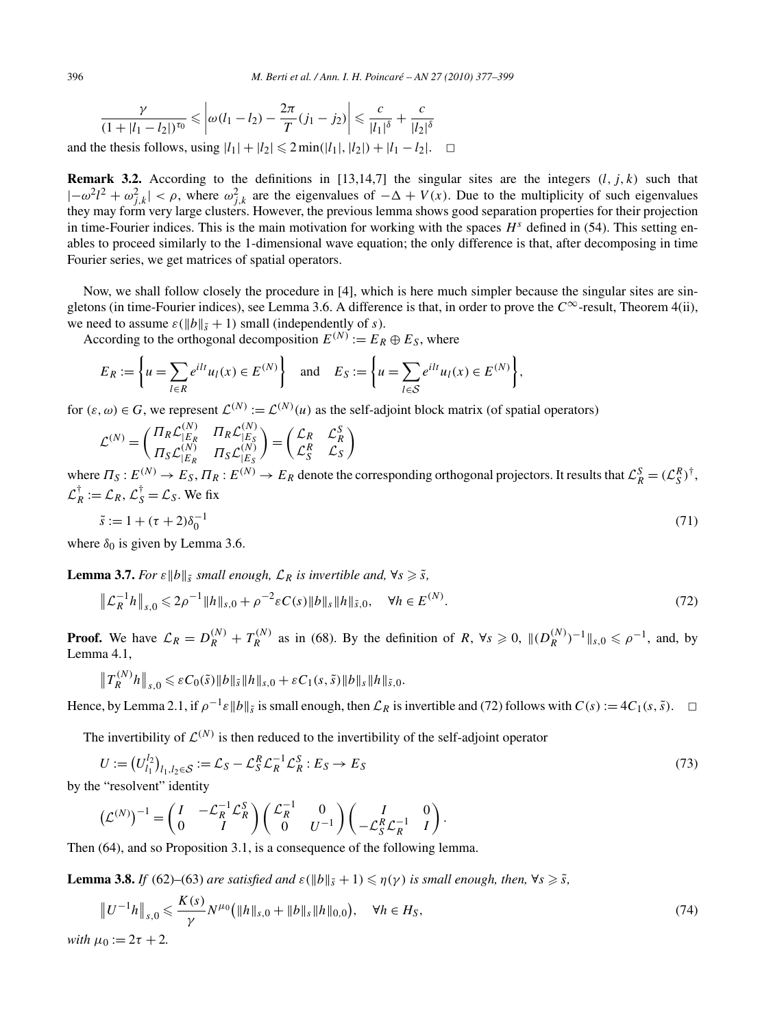$$
\frac{\gamma}{(1+|l_1-l_2|)^{\tau_0}} \leq \left| \omega(l_1-l_2) - \frac{2\pi}{T}(j_1-j_2) \right| \leq \frac{c}{|l_1|^{\delta}} + \frac{c}{|l_2|^{\delta}}
$$

and the thesis follows, using  $|l_1| + |l_2|$  ≤ 2 min( $|l_1|$ ,  $|l_2|$ ) +  $|l_1 - l_2|$ . □

**Remark 3.2.** According to the definitions in [13,14,7] the singular sites are the integers  $(l, j, k)$  such that  $|-\omega^2 l^2 + \omega_{j,k}^2| < \rho$ , where  $\omega_{j,k}^2$  are the eigenvalues of  $-\Delta + V(x)$ . Due to the multiplicity of such eigenvalues they may form very large clusters. However, the previous lemma shows good separation properties for their projection in time-Fourier indices. This is the main motivation for working with the spaces  $H<sup>s</sup>$  defined in (54). This setting enables to proceed similarly to the 1-dimensional wave equation; the only difference is that, after decomposing in time Fourier series, we get matrices of spatial operators.

Now, we shall follow closely the procedure in [4], which is here much simpler because the singular sites are singletons (in time-Fourier indices), see Lemma 3.6. A difference is that, in order to prove the  $C^{\infty}$ -result, Theorem 4(ii), we need to assume  $\varepsilon(||b||_{\tilde{s}} + 1)$  small (independently of *s*).

According to the orthogonal decomposition  $E^{(N)} := E_R \oplus E_S$ , where

$$
E_R := \left\{ u = \sum_{l \in R} e^{ilt} u_l(x) \in E^{(N)} \right\} \quad \text{and} \quad E_S := \left\{ u = \sum_{l \in S} e^{ilt} u_l(x) \in E^{(N)} \right\},
$$

for  $(\varepsilon, \omega) \in G$ , we represent  $\mathcal{L}^{(N)} := \mathcal{L}^{(N)}(u)$  as the self-adjoint block matrix (of spatial operators)

$$
\mathcal{L}^{(N)} = \begin{pmatrix} \Pi_R \mathcal{L}_{|E_R}^{(N)} & \Pi_R \mathcal{L}_{|E_S}^{(N)} \\ \Pi_S \mathcal{L}_{|E_R}^{(N)} & \Pi_S \mathcal{L}_{|E_S}^{(N)} \end{pmatrix} = \begin{pmatrix} \mathcal{L}_R & \mathcal{L}_R^S \\ \mathcal{L}_S^R & \mathcal{L}_S \end{pmatrix}
$$

where  $\Pi_S: E^{(N)} \to E_S$ ,  $\Pi_R: E^{(N)} \to E_R$  denote the corresponding orthogonal projectors. It results that  $\mathcal{L}_R^S = (\mathcal{L}_S^R)^{\dagger}$ ,  $\mathcal{L}_R^{\dagger} := \mathcal{L}_R, \mathcal{L}_S^{\dagger} = \mathcal{L}_S$ . We fix

$$
\tilde{s} := 1 + (\tau + 2)\delta_0^{-1} \tag{71}
$$

where  $\delta_0$  is given by Lemma 3.6.

**Lemma 3.7.** *For*  $\varepsilon ||b||_{\tilde{s}}$  *small enough,*  $\mathcal{L}_R$  *is invertible and,*  $\forall s \geq \tilde{s}$ *,* 

$$
\|\mathcal{L}_R^{-1}h\|_{s,0} \le 2\rho^{-1} \|h\|_{s,0} + \rho^{-2} \varepsilon C(s) \|h\|_{s} \|h\|_{\tilde{s},0}, \quad \forall h \in E^{(N)}.
$$
\n(72)

**Proof.** We have  $\mathcal{L}_R = D_R^{(N)} + T_R^{(N)}$  as in (68). By the definition of *R*,  $\forall s \ge 0$ ,  $\|(D_R^{(N)})^{-1}\|_{s,0} \le \rho^{-1}$ , and, by Lemma 4.1,

$$
\left\|T_{R}^{(N)}h\right\|_{s,0} \leqslant \varepsilon C_0(\tilde{s})\|b\|_{\tilde{s}}\|h\|_{s,0} + \varepsilon C_1(s,\tilde{s})\|b\|_{s}\|h\|_{\tilde{s},0}.
$$

Hence, by Lemma 2.1, if  $\rho^{-1} \varepsilon ||b||_{\tilde{s}}$  is small enough, then  $\mathcal{L}_R$  is invertible and (72) follows with  $C(s) := 4C_1(s, \tilde{s})$ .  $\Box$ 

The invertibility of  $\mathcal{L}^{(N)}$  is then reduced to the invertibility of the self-adjoint operator

$$
U := (U_{l_1}^{l_2})_{l_1, l_2 \in S} := \mathcal{L}_S - \mathcal{L}_S^R \mathcal{L}_R^{-1} \mathcal{L}_R^S : E_S \to E_S
$$
\n
$$
\text{the "recolvent" identity} \tag{73}
$$

by the "resolvent" identity

$$
\left(\mathcal{L}^{(N)}\right)^{-1} = \begin{pmatrix} I & -\mathcal{L}_R^{-1} \mathcal{L}_R^S \\ 0 & I \end{pmatrix} \begin{pmatrix} \mathcal{L}_R^{-1} & 0 \\ 0 & U^{-1} \end{pmatrix} \begin{pmatrix} I & 0 \\ -\mathcal{L}_S^R \mathcal{L}_R^{-1} & I \end{pmatrix}.
$$

Then (64), and so Proposition 3.1, is a consequence of the following lemma.

**Lemma 3.8.** *If* (62)–(63) *are satisfied and*  $\varepsilon(\|b\|_{\tilde{s}}+1) \leq \eta(\gamma)$  *is small enough, then,*  $\forall s \geq \tilde{s}$ *,* 

$$
\|U^{-1}h\|_{s,0} \leqslant \frac{K(s)}{\gamma} N^{\mu_0} \big( \|h\|_{s,0} + \|b\|_{s} \|h\|_{0,0} \big), \quad \forall h \in H_S,
$$
\n<sup>(74)</sup>

*with*  $\mu_0 := 2\tau + 2$ *.*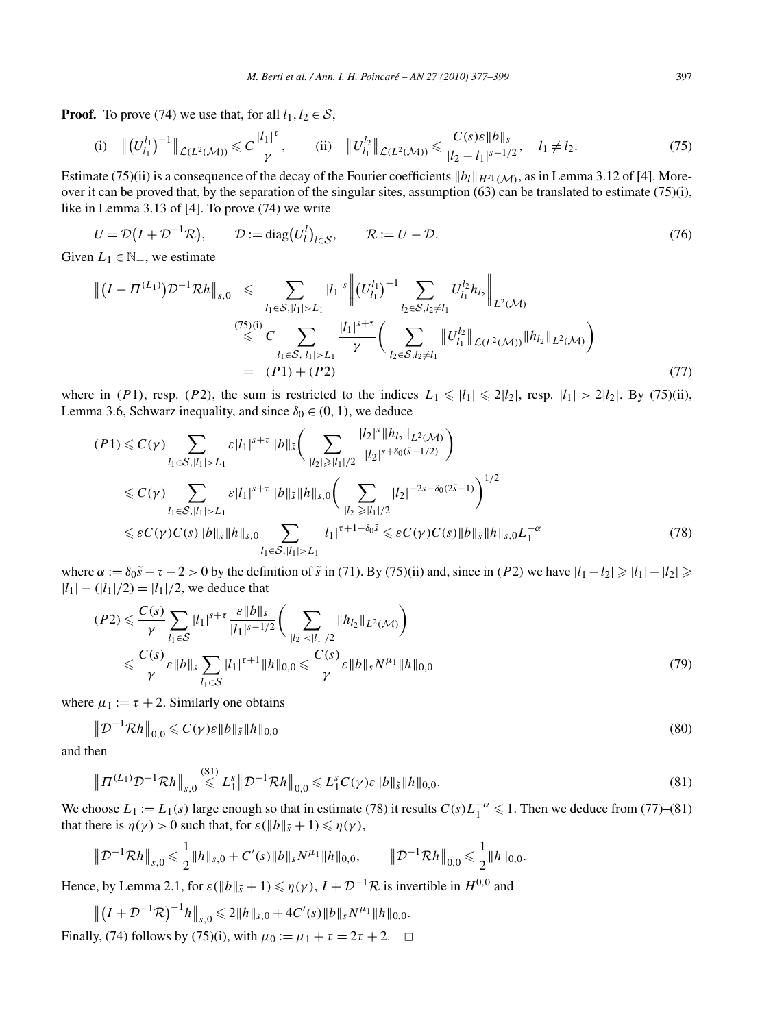**Proof.** To prove (74) we use that, for all  $l_1, l_2 \in S$ ,

(i) 
$$
||(U_{l_1}^{l_1})^{-1}||_{\mathcal{L}(L^2(\mathcal{M}))} \leq C \frac{|l_1|^{\tau}}{\gamma}
$$
, (ii)  $||U_{l_1}^{l_2}||_{\mathcal{L}(L^2(\mathcal{M}))} \leq \frac{C(s)\varepsilon ||b||_s}{|l_2 - l_1|^{s-1/2}}$ ,  $l_1 \neq l_2$ . (75)

Estimate (75)(ii) is a consequence of the decay of the Fourier coefficients  $||b_l||_{H^{s_1}(\mathcal{M})}$ , as in Lemma 3.12 of [4]. Moreover it can be proved that, by the separation of the singular sites, assumption  $(63)$  can be translated to estimate  $(75)(i)$ , like in Lemma 3.13 of [4]. To prove (74) we write

$$
U = \mathcal{D}(I + \mathcal{D}^{-1}\mathcal{R}), \qquad \mathcal{D} := \text{diag}(U_l^l)_{l \in \mathcal{S}}, \qquad \mathcal{R} := U - \mathcal{D}. \tag{76}
$$

Given  $L_1 \in \mathbb{N}_+$ , we estimate

$$
\| (I - \Pi^{(L_1)}) \mathcal{D}^{-1} \mathcal{R} h \|_{s,0} \leq \sum_{l_1 \in \mathcal{S}, |l_1| > L_1} |l_1|^s \| (U_{l_1}^{l_1})^{-1} \sum_{l_2 \in \mathcal{S}, l_2 \neq l_1} U_{l_1}^{l_2} h_{l_2} \|_{L^2(\mathcal{M})}
$$
  

$$
\leq C \sum_{l_1 \in \mathcal{S}, |l_1| > L_1} \frac{|l_1|^{s+\tau}}{\gamma} \bigg( \sum_{l_2 \in \mathcal{S}, l_2 \neq l_1} \| U_{l_1}^{l_2} \|_{\mathcal{L}(L^2(\mathcal{M}))} \| h_{l_2} \|_{L^2(\mathcal{M})} \bigg)
$$
  

$$
= (P1) + (P2)
$$
 (77)

where in (P1), resp. (P2), the sum is restricted to the indices  $L_1 \leq l_1 \leq l_2$ , resp.  $|l_1| > 2|l_2|$ . By (75)(ii), Lemma 3.6, Schwarz inequality, and since  $\delta_0 \in (0, 1)$ , we deduce |*l*2|

$$
(P1) \leq C(\gamma) \sum_{l_1 \in S, |l_1| > L_1} \varepsilon |l_1|^{s+\tau} \|b\|_{\tilde{s}} \Big( \sum_{|l_2| \geq |l_1|/2} \frac{|l_2|^s \|h_{l_2}\|_{L^2(\mathcal{M})}}{|l_2|^{s+\delta_0(\tilde{s}-1/2)}} \Big)
$$
  
\n
$$
\leq C(\gamma) \sum_{l_1 \in S, |l_1| > L_1} \varepsilon |l_1|^{s+\tau} \|b\|_{\tilde{s}} \|h\|_{s,0} \Big( \sum_{|l_2| \geq |l_1|/2} |l_2|^{-2s-\delta_0(2\tilde{s}-1)} \Big)^{1/2}
$$
  
\n
$$
\leq \varepsilon C(\gamma) C(s) \|b\|_{\tilde{s}} \|h\|_{s,0} \sum_{l_1 \in S, |l_1| > L_1} |l_1|^{\tau+1-\delta_0 \tilde{s}} \leq \varepsilon C(\gamma) C(s) \|b\|_{\tilde{s}} \|h\|_{s,0} L_1^{-\alpha}
$$
 (78)

where  $\alpha := \delta_0 \tilde{s} - \tau - 2 > 0$  by the definition of  $\tilde{s}$  in (71). By (75)(ii) and, since in (*P*2) we have  $|l_1 - l_2| \ge |l_1| - |l_2| \ge$  $|l_1| - (|l_1|/2) = |l_1|/2$ , we deduce that

$$
(P2) \leqslant \frac{C(s)}{\gamma} \sum_{l_1 \in S} |l_1|^{s+\tau} \frac{\varepsilon \|b\|_s}{|l_1|^{s-1/2}} \bigg( \sum_{|l_2| < |l_1|/2} \|h_{l_2}\|_{L^2(\mathcal{M})} \bigg)
$$
\n
$$
\leqslant \frac{C(s)}{\gamma} \varepsilon \|b\|_s \sum_{l_1 \in S} |l_1|^{\tau+1} \|h\|_{0,0} \leqslant \frac{C(s)}{\gamma} \varepsilon \|b\|_s N^{\mu_1} \|h\|_{0,0} \tag{79}
$$

where  $\mu_1 := \tau + 2$ . Similarly one obtains

$$
\|\mathcal{D}^{-1}\mathcal{R}h\|_{0,0} \leqslant C(\gamma)\varepsilon \|b\|_{\tilde{s}} \|h\|_{0,0}
$$
\n
$$
(80)
$$

and then

$$
\left\| \Pi^{(L_1)} \mathcal{D}^{-1} \mathcal{R} h \right\|_{s,0} \leqslant L_1^s \left\| \mathcal{D}^{-1} \mathcal{R} h \right\|_{0,0} \leqslant L_1^s C(\gamma) \varepsilon \|b\|_{\tilde{s}} \|h\|_{0,0}.
$$
\n
$$
(81)
$$

We choose  $L_1 := L_1(s)$  large enough so that in estimate (78) it results  $C(s)L_1^{-\alpha} \leq 1$ . Then we deduce from (77)–(81) that there is  $\eta(\gamma) > 0$  such that, for  $\varepsilon(\|b\|_{\tilde{s}} + 1) \leq \eta(\gamma)$ ,

$$
\|\mathcal{D}^{-1}\mathcal{R}h\|_{s,0} \leq \frac{1}{2} \|h\|_{s,0} + C'(s) \|h\|_{s} N^{\mu_1} \|h\|_{0,0}, \qquad \|\mathcal{D}^{-1}\mathcal{R}h\|_{0,0} \leq \frac{1}{2} \|h\|_{0,0}.
$$

Hence, by Lemma 2.1, for  $\varepsilon(\|b\|_{\tilde{s}}+1) \leq \eta(\gamma)$ ,  $I + \mathcal{D}^{-1}\mathcal{R}$  is invertible in  $H^{0,0}$  and

$$
||(I + \mathcal{D}^{-1}\mathcal{R})^{-1}h||_{s,0} \le 2||h||_{s,0} + 4C'(s)||b||_s N^{\mu_1}||h||_{0,0}.
$$
  
Finally, (74) follows by (75)(i), with  $\mu_0 := \mu_1 + \tau = 2\tau + 2$ . □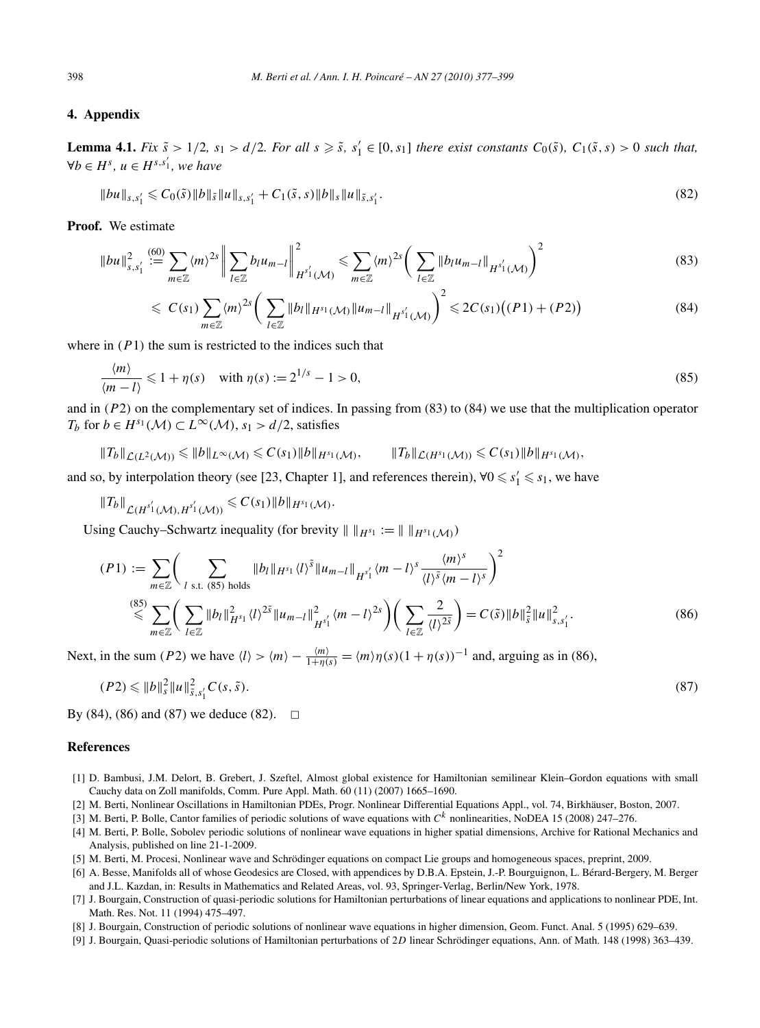## **4. Appendix**

**Lemma 4.1.** Fix  $\tilde{s} > 1/2$ ,  $s_1 > d/2$ . For all  $s \geq \tilde{s}$ ,  $s'_1 \in [0, s_1]$  there exist constants  $C_0(\tilde{s})$ ,  $C_1(\tilde{s}, s) > 0$  such that,  $∀b ∈ H<sup>s</sup>, u ∈ H<sup>s,s'<sub>1</sub></sup>, we have$ 

$$
||bu||_{s,s_1'} \leq C_0(\tilde{s}) ||b||_{\tilde{s}} ||u||_{s,s_1'} + C_1(\tilde{s},s) ||b||_{s} ||u||_{\tilde{s},s_1'}.
$$
\n(82)

**Proof.** We estimate

$$
||bu||_{s,s'_1}^2 := \sum_{m \in \mathbb{Z}} \langle m \rangle^{2s} \left\| \sum_{l \in \mathbb{Z}} b_l u_{m-l} \right\|_{H^{s'_1}(\mathcal{M})}^2 \leq \sum_{m \in \mathbb{Z}} \langle m \rangle^{2s} \left( \sum_{l \in \mathbb{Z}} ||b_l u_{m-l}||_{H^{s'_1}(\mathcal{M})} \right)^2
$$
(83)

$$
\leqslant C(s_1) \sum_{m \in \mathbb{Z}} \langle m \rangle^{2s} \bigg( \sum_{l \in \mathbb{Z}} \|b_l\|_{H^{s_1}(\mathcal{M})} \|u_{m-l}\|_{H^{s'_1}(\mathcal{M})} \bigg)^2 \leqslant 2C(s_1) \big((P1) + (P2)\big) \tag{84}
$$

where in  $(P1)$  the sum is restricted to the indices such that

$$
\frac{\langle m \rangle}{\langle m - l \rangle} \leq 1 + \eta(s) \quad \text{with } \eta(s) := 2^{1/s} - 1 > 0,
$$
\n(85)

and in *(P*2*)* on the complementary set of indices. In passing from (83) to (84) we use that the multiplication operator *T<sub>b</sub>* for *b* ∈ *H*<sup>*s*<sub>1</sub></sup> (*M*) ⊂ *L*<sup>∞</sup> (*M*), *s*<sub>1</sub> > *d*/2, satisfies

$$
||T_b||_{\mathcal{L}(L^2(\mathcal{M}))} \leq ||b||_{L^{\infty}(\mathcal{M})} \leq C(s_1)||b||_{H^{s_1}(\mathcal{M})}, \qquad ||T_b||_{\mathcal{L}(H^{s_1}(\mathcal{M}))} \leq C(s_1)||b||_{H^{s_1}(\mathcal{M})},
$$

and so, by interpolation theory (see [23, Chapter 1], and references therein),  $\forall 0 \leq s'_1 \leq s_1$ , we have

 $||T_b||_{\mathcal{L}(H^{s'_1}(\mathcal{M}), H^{s'_1}(\mathcal{M}))} \leqslant C(s_1) ||b||_{H^{s_1}(\mathcal{M})}.$ 

Using Cauchy–Schwartz inequality (for brevity  $|| \cdot ||_{H^{s_1}} := || \cdot ||_{H^{s_1}(\mathcal{M})}$ )

$$
(P1) := \sum_{m \in \mathbb{Z}} \left( \sum_{l \text{ s.t. } (85) \text{ holds}} \|b_l\|_{H^{s_1} \langle l \rangle^{\tilde{s}}} \|u_{m-l}\|_{H^{s'_1}} \langle m-l \rangle^s \frac{\langle m \rangle^s}{\langle l \rangle^{\tilde{s}} \langle m-l \rangle^s} \right)^2
$$
  

$$
\stackrel{(85)}{\leq} \sum_{m \in \mathbb{Z}} \left( \sum_{l \in \mathbb{Z}} \|b_l\|_{H^{s_1} \langle l \rangle^{2\tilde{s}}}^2 \|u_{m-l}\|_{H^{s'_1}}^2 \langle m-l \rangle^{2s} \right) \left( \sum_{l \in \mathbb{Z}} \frac{2}{\langle l \rangle^{2\tilde{s}}} \right) = C(\tilde{s}) \|b\|_{\tilde{s}}^2 \|u\|_{s,s'_1}^2.
$$
 (86)

Next, in the sum *(P2)* we have  $\langle l \rangle > \langle m \rangle - \frac{\langle m \rangle}{1 + \eta(s)} = \langle m \rangle \eta(s) (1 + \eta(s))^{-1}$  and, arguing as in (86),

$$
(P2) \leq \|b\|_{s}^{2} \|u\|_{\tilde{s}, s'_{1}}^{2} C(s, \tilde{s}).
$$
\n(87)

By (84), (86) and (87) we deduce (82).  $\Box$ 

## **References**

- [1] D. Bambusi, J.M. Delort, B. Grebert, J. Szeftel, Almost global existence for Hamiltonian semilinear Klein–Gordon equations with small Cauchy data on Zoll manifolds, Comm. Pure Appl. Math. 60 (11) (2007) 1665–1690.
- [2] M. Berti, Nonlinear Oscillations in Hamiltonian PDEs, Progr. Nonlinear Differential Equations Appl., vol. 74, Birkhäuser, Boston, 2007.
- [3] M. Berti, P. Bolle, Cantor families of periodic solutions of wave equations with *C<sup>k</sup>* nonlinearities, NoDEA 15 (2008) 247–276.
- [4] M. Berti, P. Bolle, Sobolev periodic solutions of nonlinear wave equations in higher spatial dimensions, Archive for Rational Mechanics and Analysis, published on line 21-1-2009.
- [5] M. Berti, M. Procesi, Nonlinear wave and Schrödinger equations on compact Lie groups and homogeneous spaces, preprint, 2009.
- [6] A. Besse, Manifolds all of whose Geodesics are Closed, with appendices by D.B.A. Epstein, J.-P. Bourguignon, L. Bérard-Bergery, M. Berger and J.L. Kazdan, in: Results in Mathematics and Related Areas, vol. 93, Springer-Verlag, Berlin/New York, 1978.
- [7] J. Bourgain, Construction of quasi-periodic solutions for Hamiltonian perturbations of linear equations and applications to nonlinear PDE, Int. Math. Res. Not. 11 (1994) 475–497.
- [8] J. Bourgain, Construction of periodic solutions of nonlinear wave equations in higher dimension, Geom. Funct. Anal. 5 (1995) 629–639.
- [9] J. Bourgain, Quasi-periodic solutions of Hamiltonian perturbations of 2*D* linear Schrödinger equations, Ann. of Math. 148 (1998) 363–439.